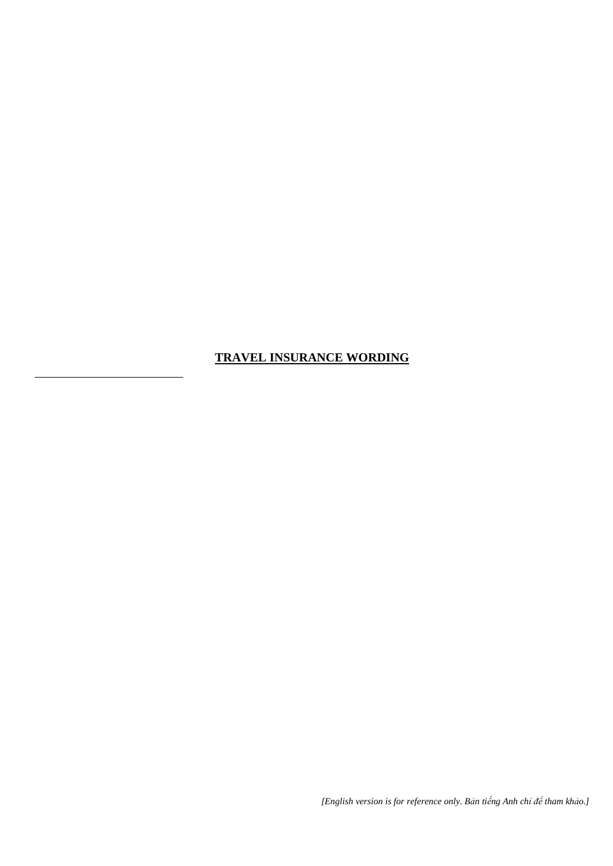# **TRAVEL INSURANCE WORDING**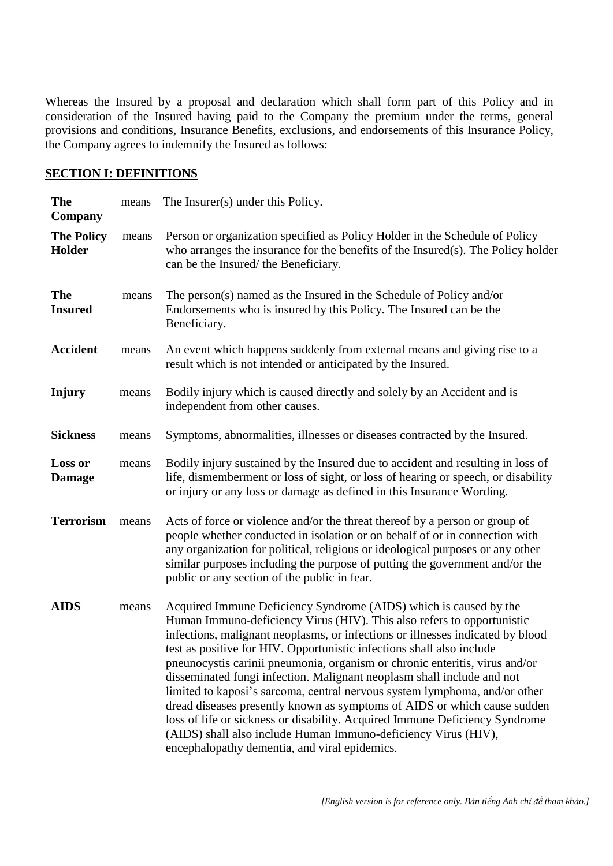Whereas the Insured by a proposal and declaration which shall form part of this Policy and in consideration of the Insured having paid to the Company the premium under the terms, general provisions and conditions, Insurance Benefits, exclusions, and endorsements of this Insurance Policy, the Company agrees to indemnify the Insured as follows:

#### **SECTION I: DEFINITIONS**

| <b>The</b><br>Company           | means | The Insurer(s) under this Policy.                                                                                                                                                                                                                                                                                                                                                                                                                                                                                                                                                                                                                                                                                                                                                                                           |  |
|---------------------------------|-------|-----------------------------------------------------------------------------------------------------------------------------------------------------------------------------------------------------------------------------------------------------------------------------------------------------------------------------------------------------------------------------------------------------------------------------------------------------------------------------------------------------------------------------------------------------------------------------------------------------------------------------------------------------------------------------------------------------------------------------------------------------------------------------------------------------------------------------|--|
| <b>The Policy</b><br>Holder     | means | Person or organization specified as Policy Holder in the Schedule of Policy<br>who arranges the insurance for the benefits of the Insured(s). The Policy holder<br>can be the Insured/the Beneficiary.                                                                                                                                                                                                                                                                                                                                                                                                                                                                                                                                                                                                                      |  |
| <b>The</b><br><b>Insured</b>    | means | The person(s) named as the Insured in the Schedule of Policy and/or<br>Endorsements who is insured by this Policy. The Insured can be the<br>Beneficiary.                                                                                                                                                                                                                                                                                                                                                                                                                                                                                                                                                                                                                                                                   |  |
| <b>Accident</b>                 | means | An event which happens suddenly from external means and giving rise to a<br>result which is not intended or anticipated by the Insured.                                                                                                                                                                                                                                                                                                                                                                                                                                                                                                                                                                                                                                                                                     |  |
| Injury                          | means | Bodily injury which is caused directly and solely by an Accident and is<br>independent from other causes.                                                                                                                                                                                                                                                                                                                                                                                                                                                                                                                                                                                                                                                                                                                   |  |
| <b>Sickness</b>                 | means | Symptoms, abnormalities, illnesses or diseases contracted by the Insured.                                                                                                                                                                                                                                                                                                                                                                                                                                                                                                                                                                                                                                                                                                                                                   |  |
| <b>Loss or</b><br><b>Damage</b> | means | Bodily injury sustained by the Insured due to accident and resulting in loss of<br>life, dismemberment or loss of sight, or loss of hearing or speech, or disability<br>or injury or any loss or damage as defined in this Insurance Wording.                                                                                                                                                                                                                                                                                                                                                                                                                                                                                                                                                                               |  |
| <b>Terrorism</b>                | means | Acts of force or violence and/or the threat thereof by a person or group of<br>people whether conducted in isolation or on behalf of or in connection with<br>any organization for political, religious or ideological purposes or any other<br>similar purposes including the purpose of putting the government and/or the<br>public or any section of the public in fear.                                                                                                                                                                                                                                                                                                                                                                                                                                                 |  |
| <b>AIDS</b>                     | means | Acquired Immune Deficiency Syndrome (AIDS) which is caused by the<br>Human Immuno-deficiency Virus (HIV). This also refers to opportunistic<br>infections, malignant neoplasms, or infections or illnesses indicated by blood<br>test as positive for HIV. Opportunistic infections shall also include<br>pneunocystis carinii pneumonia, organism or chronic enteritis, virus and/or<br>disseminated fungi infection. Malignant neoplasm shall include and not<br>limited to kaposi's sarcoma, central nervous system lymphoma, and/or other<br>dread diseases presently known as symptoms of AIDS or which cause sudden<br>loss of life or sickness or disability. Acquired Immune Deficiency Syndrome<br>(AIDS) shall also include Human Immuno-deficiency Virus (HIV),<br>encephalopathy dementia, and viral epidemics. |  |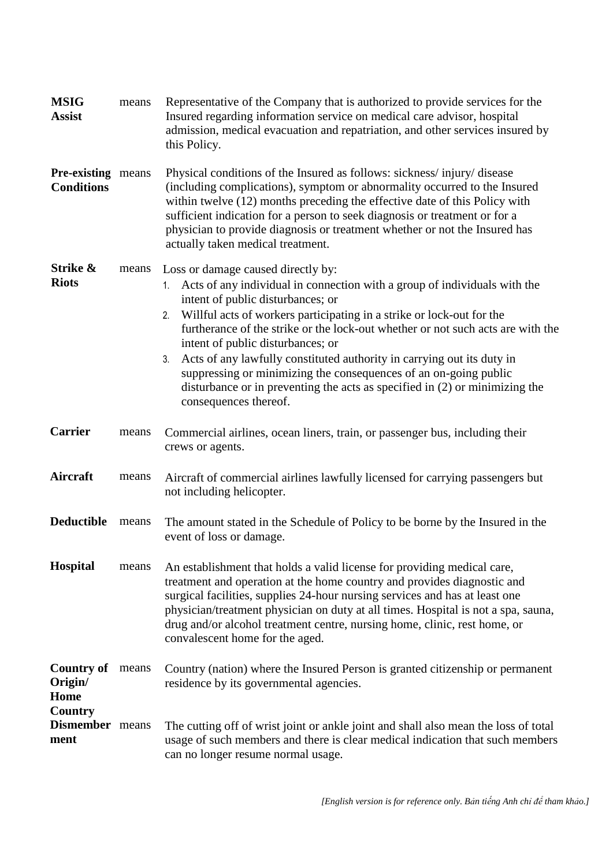| <b>MSIG</b><br><b>Assist</b>                    | means | Representative of the Company that is authorized to provide services for the<br>Insured regarding information service on medical care advisor, hospital<br>admission, medical evacuation and repatriation, and other services insured by<br>this Policy.                                                                                                                                                                                                                                                                                                                                                                   |  |  |
|-------------------------------------------------|-------|----------------------------------------------------------------------------------------------------------------------------------------------------------------------------------------------------------------------------------------------------------------------------------------------------------------------------------------------------------------------------------------------------------------------------------------------------------------------------------------------------------------------------------------------------------------------------------------------------------------------------|--|--|
| <b>Pre-existing</b> means<br><b>Conditions</b>  |       | Physical conditions of the Insured as follows: sickness/injury/disease<br>(including complications), symptom or abnormality occurred to the Insured<br>within twelve (12) months preceding the effective date of this Policy with<br>sufficient indication for a person to seek diagnosis or treatment or for a<br>physician to provide diagnosis or treatment whether or not the Insured has<br>actually taken medical treatment.                                                                                                                                                                                         |  |  |
| Strike &<br><b>Riots</b>                        | means | Loss or damage caused directly by:<br>1. Acts of any individual in connection with a group of individuals with the<br>intent of public disturbances; or<br>Willful acts of workers participating in a strike or lock-out for the<br>2.<br>furtherance of the strike or the lock-out whether or not such acts are with the<br>intent of public disturbances; or<br>Acts of any lawfully constituted authority in carrying out its duty in<br>3.<br>suppressing or minimizing the consequences of an on-going public<br>disturbance or in preventing the acts as specified in (2) or minimizing the<br>consequences thereof. |  |  |
| <b>Carrier</b>                                  | means | Commercial airlines, ocean liners, train, or passenger bus, including their<br>crews or agents.                                                                                                                                                                                                                                                                                                                                                                                                                                                                                                                            |  |  |
| Aircraft                                        | means | Aircraft of commercial airlines lawfully licensed for carrying passengers but<br>not including helicopter.                                                                                                                                                                                                                                                                                                                                                                                                                                                                                                                 |  |  |
| <b>Deductible</b>                               | means | The amount stated in the Schedule of Policy to be borne by the Insured in the<br>event of loss or damage.                                                                                                                                                                                                                                                                                                                                                                                                                                                                                                                  |  |  |
| <b>Hospital</b>                                 | means | An establishment that holds a valid license for providing medical care,<br>treatment and operation at the home country and provides diagnostic and<br>surgical facilities, supplies 24-hour nursing services and has at least one<br>physician/treatment physician on duty at all times. Hospital is not a spa, sauna,<br>drug and/or alcohol treatment centre, nursing home, clinic, rest home, or<br>convalescent home for the aged.                                                                                                                                                                                     |  |  |
| <b>Country of</b><br>Origin/<br>Home<br>Country | means | Country (nation) where the Insured Person is granted citizenship or permanent<br>residence by its governmental agencies.                                                                                                                                                                                                                                                                                                                                                                                                                                                                                                   |  |  |
| Dismember means<br>ment                         |       | The cutting off of wrist joint or ankle joint and shall also mean the loss of total<br>usage of such members and there is clear medical indication that such members<br>can no longer resume normal usage.                                                                                                                                                                                                                                                                                                                                                                                                                 |  |  |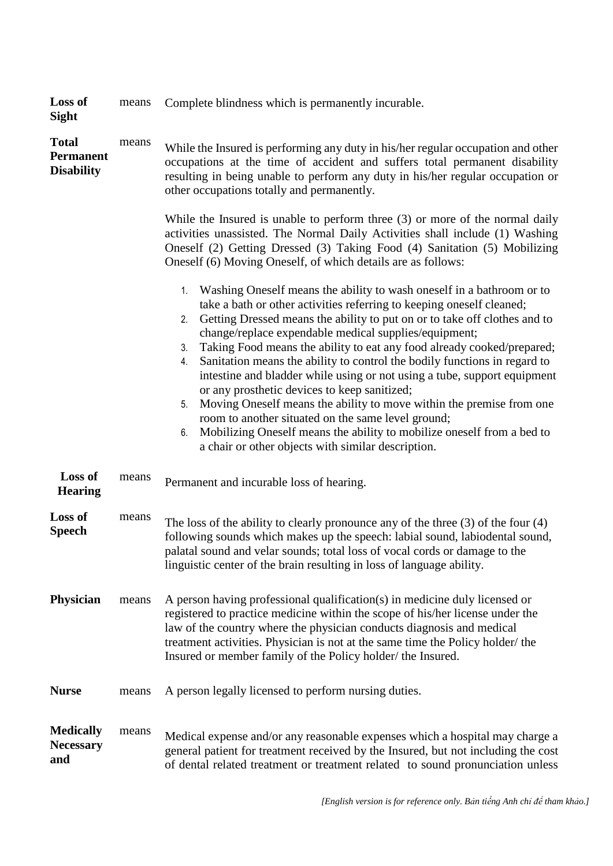| <b>Loss of</b><br><b>Sight</b>                        | means | Complete blindness which is permanently incurable.                                                                                                                                                                                                                                                                                                                                                                                                                                                                                                                                                                                                                                                                                                                                                                                                                        |  |
|-------------------------------------------------------|-------|---------------------------------------------------------------------------------------------------------------------------------------------------------------------------------------------------------------------------------------------------------------------------------------------------------------------------------------------------------------------------------------------------------------------------------------------------------------------------------------------------------------------------------------------------------------------------------------------------------------------------------------------------------------------------------------------------------------------------------------------------------------------------------------------------------------------------------------------------------------------------|--|
| <b>Total</b><br><b>Permanent</b><br><b>Disability</b> | means | While the Insured is performing any duty in his/her regular occupation and other<br>occupations at the time of accident and suffers total permanent disability<br>resulting in being unable to perform any duty in his/her regular occupation or<br>other occupations totally and permanently.<br>While the Insured is unable to perform three $(3)$ or more of the normal daily                                                                                                                                                                                                                                                                                                                                                                                                                                                                                          |  |
|                                                       |       | activities unassisted. The Normal Daily Activities shall include (1) Washing<br>Oneself (2) Getting Dressed (3) Taking Food (4) Sanitation (5) Mobilizing<br>Oneself (6) Moving Oneself, of which details are as follows:                                                                                                                                                                                                                                                                                                                                                                                                                                                                                                                                                                                                                                                 |  |
|                                                       |       | Washing Oneself means the ability to wash oneself in a bathroom or to<br>1.<br>take a bath or other activities referring to keeping oneself cleaned;<br>Getting Dressed means the ability to put on or to take off clothes and to<br>2.<br>change/replace expendable medical supplies/equipment;<br>Taking Food means the ability to eat any food already cooked/prepared;<br>3.<br>Sanitation means the ability to control the bodily functions in regard to<br>4.<br>intestine and bladder while using or not using a tube, support equipment<br>or any prosthetic devices to keep sanitized;<br>Moving Oneself means the ability to move within the premise from one<br>5.<br>room to another situated on the same level ground;<br>Mobilizing Oneself means the ability to mobilize oneself from a bed to<br>6.<br>a chair or other objects with similar description. |  |
| Loss of<br><b>Hearing</b>                             | means | Permanent and incurable loss of hearing.                                                                                                                                                                                                                                                                                                                                                                                                                                                                                                                                                                                                                                                                                                                                                                                                                                  |  |
| Loss of<br><b>Speech</b>                              | means | The loss of the ability to clearly pronounce any of the three $(3)$ of the four $(4)$<br>following sounds which makes up the speech: labial sound, labiodental sound,<br>palatal sound and velar sounds; total loss of vocal cords or damage to the<br>linguistic center of the brain resulting in loss of language ability.                                                                                                                                                                                                                                                                                                                                                                                                                                                                                                                                              |  |
| <b>Physician</b>                                      | means | A person having professional qualification(s) in medicine duly licensed or<br>registered to practice medicine within the scope of his/her license under the<br>law of the country where the physician conducts diagnosis and medical<br>treatment activities. Physician is not at the same time the Policy holder/ the<br>Insured or member family of the Policy holder/ the Insured.                                                                                                                                                                                                                                                                                                                                                                                                                                                                                     |  |
| <b>Nurse</b>                                          | means | A person legally licensed to perform nursing duties.                                                                                                                                                                                                                                                                                                                                                                                                                                                                                                                                                                                                                                                                                                                                                                                                                      |  |
| <b>Medically</b><br><b>Necessary</b><br>and           | means | Medical expense and/or any reasonable expenses which a hospital may charge a<br>general patient for treatment received by the Insured, but not including the cost<br>of dental related treatment or treatment related to sound pronunciation unless                                                                                                                                                                                                                                                                                                                                                                                                                                                                                                                                                                                                                       |  |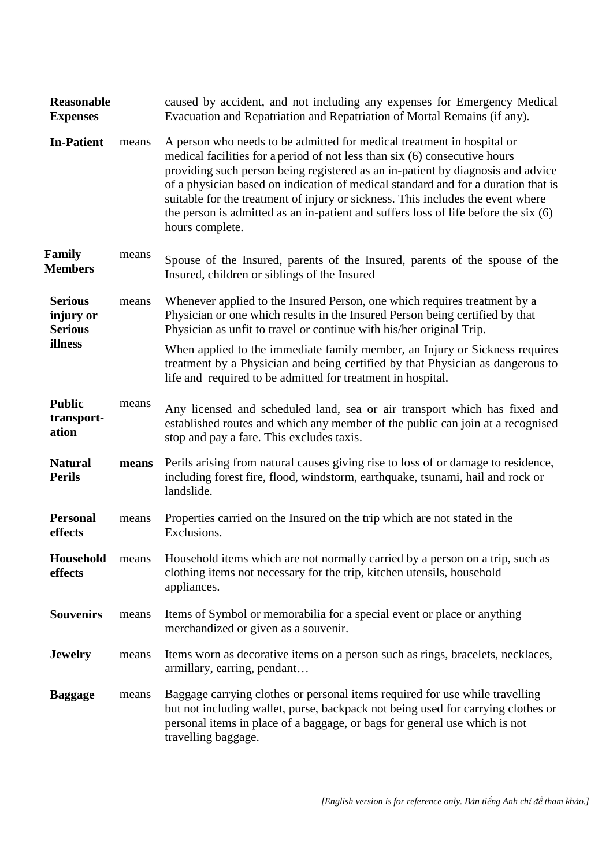| <b>Reasonable</b><br><b>Expenses</b>          |       | caused by accident, and not including any expenses for Emergency Medical<br>Evacuation and Repatriation and Repatriation of Mortal Remains (if any).                                                                                                                                                                                                                                                                                                                                                                       |  |
|-----------------------------------------------|-------|----------------------------------------------------------------------------------------------------------------------------------------------------------------------------------------------------------------------------------------------------------------------------------------------------------------------------------------------------------------------------------------------------------------------------------------------------------------------------------------------------------------------------|--|
| <b>In-Patient</b>                             | means | A person who needs to be admitted for medical treatment in hospital or<br>medical facilities for a period of not less than six (6) consecutive hours<br>providing such person being registered as an in-patient by diagnosis and advice<br>of a physician based on indication of medical standard and for a duration that is<br>suitable for the treatment of injury or sickness. This includes the event where<br>the person is admitted as an in-patient and suffers loss of life before the $six(6)$<br>hours complete. |  |
| Family<br><b>Members</b>                      | means | Spouse of the Insured, parents of the Insured, parents of the spouse of the<br>Insured, children or siblings of the Insured                                                                                                                                                                                                                                                                                                                                                                                                |  |
| <b>Serious</b><br>injury or<br><b>Serious</b> | means | Whenever applied to the Insured Person, one which requires treatment by a<br>Physician or one which results in the Insured Person being certified by that<br>Physician as unfit to travel or continue with his/her original Trip.                                                                                                                                                                                                                                                                                          |  |
| illness                                       |       | When applied to the immediate family member, an Injury or Sickness requires<br>treatment by a Physician and being certified by that Physician as dangerous to<br>life and required to be admitted for treatment in hospital.                                                                                                                                                                                                                                                                                               |  |
| <b>Public</b><br>transport-<br>ation          | means | Any licensed and scheduled land, sea or air transport which has fixed and<br>established routes and which any member of the public can join at a recognised<br>stop and pay a fare. This excludes taxis.                                                                                                                                                                                                                                                                                                                   |  |
| <b>Natural</b><br><b>Perils</b>               | means | Perils arising from natural causes giving rise to loss of or damage to residence,<br>including forest fire, flood, windstorm, earthquake, tsunami, hail and rock or<br>landslide.                                                                                                                                                                                                                                                                                                                                          |  |
| <b>Personal</b><br>effects                    | means | Properties carried on the Insured on the trip which are not stated in the<br>Exclusions.                                                                                                                                                                                                                                                                                                                                                                                                                                   |  |
| Household<br>effects                          | means | Household items which are not normally carried by a person on a trip, such as<br>clothing items not necessary for the trip, kitchen utensils, household<br>appliances.                                                                                                                                                                                                                                                                                                                                                     |  |
| <b>Souvenirs</b>                              | means | Items of Symbol or memorabilia for a special event or place or anything<br>merchandized or given as a souvenir.                                                                                                                                                                                                                                                                                                                                                                                                            |  |
| <b>Jewelry</b>                                | means | Items worn as decorative items on a person such as rings, bracelets, necklaces,<br>armillary, earring, pendant                                                                                                                                                                                                                                                                                                                                                                                                             |  |
| <b>Baggage</b>                                | means | Baggage carrying clothes or personal items required for use while travelling<br>but not including wallet, purse, backpack not being used for carrying clothes or<br>personal items in place of a baggage, or bags for general use which is not<br>travelling baggage.                                                                                                                                                                                                                                                      |  |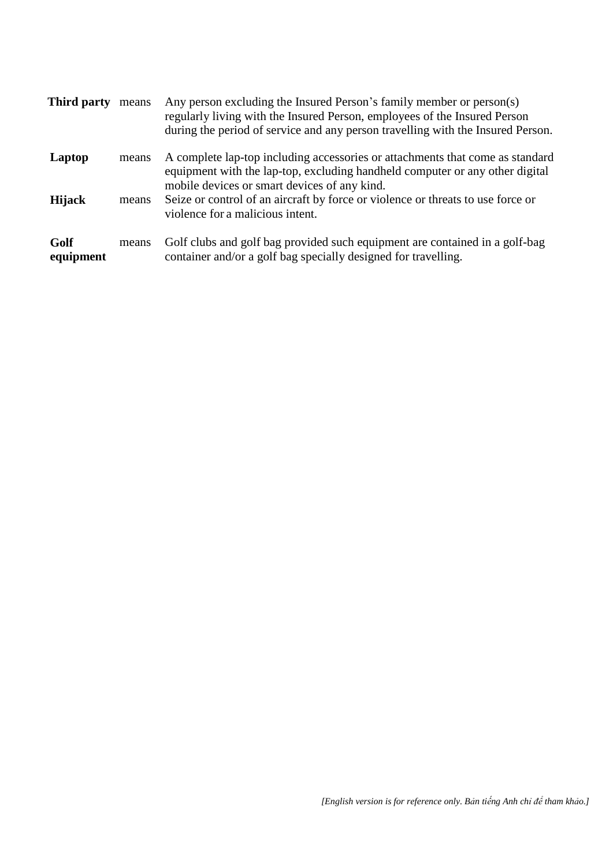| <b>Third party</b> | means | Any person excluding the Insured Person's family member or person(s)<br>regularly living with the Insured Person, employees of the Insured Person<br>during the period of service and any person travelling with the Insured Person. |
|--------------------|-------|--------------------------------------------------------------------------------------------------------------------------------------------------------------------------------------------------------------------------------------|
| Laptop             | means | A complete lap-top including accessories or attachments that come as standard<br>equipment with the lap-top, excluding handheld computer or any other digital<br>mobile devices or smart devices of any kind.                        |
| <b>Hijack</b>      | means | Seize or control of an aircraft by force or violence or threats to use force or<br>violence for a malicious intent.                                                                                                                  |
| Golf<br>equipment  | means | Golf clubs and golf bag provided such equipment are contained in a golf-bag<br>container and/or a golf bag specially designed for travelling.                                                                                        |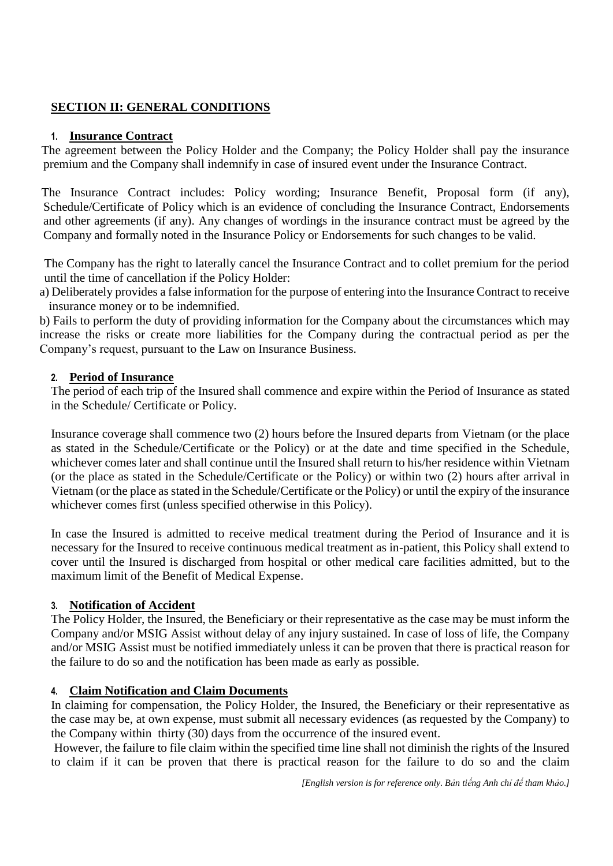## **SECTION II: GENERAL CONDITIONS**

#### **1. Insurance Contract**

The agreement between the Policy Holder and the Company; the Policy Holder shall pay the insurance premium and the Company shall indemnify in case of insured event under the Insurance Contract.

The Insurance Contract includes: Policy wording; Insurance Benefit, Proposal form (if any), Schedule/Certificate of Policy which is an evidence of concluding the Insurance Contract, Endorsements and other agreements (if any). Any changes of wordings in the insurance contract must be agreed by the Company and formally noted in the Insurance Policy or Endorsements for such changes to be valid.

The Company has the right to laterally cancel the Insurance Contract and to collet premium for the period until the time of cancellation if the Policy Holder:

a) Deliberately provides a false information for the purpose of entering into the Insurance Contract to receive insurance money or to be indemnified.

b) Fails to perform the duty of providing information for the Company about the circumstances which may increase the risks or create more liabilities for the Company during the contractual period as per the Company's request, pursuant to the Law on Insurance Business.

#### **2. Period of Insurance**

The period of each trip of the Insured shall commence and expire within the Period of Insurance as stated in the Schedule/ Certificate or Policy.

Insurance coverage shall commence two (2) hours before the Insured departs from Vietnam (or the place as stated in the Schedule/Certificate or the Policy) or at the date and time specified in the Schedule, whichever comes later and shall continue until the Insured shall return to his/her residence within Vietnam (or the place as stated in the Schedule/Certificate or the Policy) or within two (2) hours after arrival in Vietnam (or the place as stated in the Schedule/Certificate or the Policy) or until the expiry of the insurance whichever comes first (unless specified otherwise in this Policy).

In case the Insured is admitted to receive medical treatment during the Period of Insurance and it is necessary for the Insured to receive continuous medical treatment as in-patient, this Policy shall extend to cover until the Insured is discharged from hospital or other medical care facilities admitted, but to the maximum limit of the Benefit of Medical Expense.

#### **3. Notification of Accident**

The Policy Holder, the Insured, the Beneficiary or their representative as the case may be must inform the Company and/or MSIG Assist without delay of any injury sustained. In case of loss of life, the Company and/or MSIG Assist must be notified immediately unless it can be proven that there is practical reason for the failure to do so and the notification has been made as early as possible.

## **4. Claim Notification and Claim Documents**

In claiming for compensation, the Policy Holder, the Insured, the Beneficiary or their representative as the case may be, at own expense, must submit all necessary evidences (as requested by the Company) to the Company within thirty (30) days from the occurrence of the insured event.

However, the failure to file claim within the specified time line shall not diminish the rights of the Insured to claim if it can be proven that there is practical reason for the failure to do so and the claim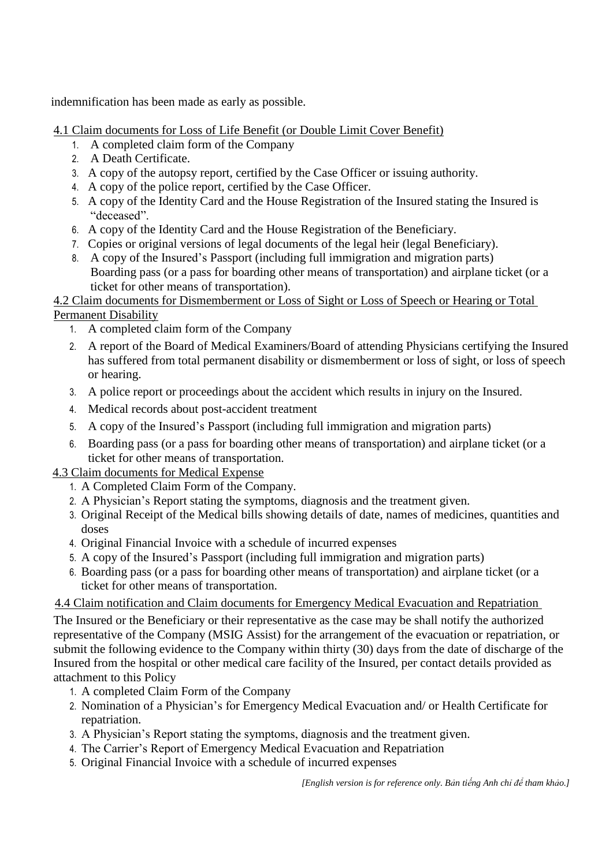indemnification has been made as early as possible.

4.1 Claim documents for Loss of Life Benefit (or Double Limit Cover Benefit)

- 1. A completed claim form of the Company
- 2. A Death Certificate.
- 3. A copy of the autopsy report, certified by the Case Officer or issuing authority.
- 4. A copy of the police report, certified by the Case Officer.
- 5. A copy of the Identity Card and the House Registration of the Insured stating the Insured is "deceased".
- 6. A copy of the Identity Card and the House Registration of the Beneficiary.
- 7. Copies or original versions of legal documents of the legal heir (legal Beneficiary).
- 8. A copy of the Insured's Passport (including full immigration and migration parts) Boarding pass (or a pass for boarding other means of transportation) and airplane ticket (or a ticket for other means of transportation).

## 4.2 Claim documents for Dismemberment or Loss of Sight or Loss of Speech or Hearing or Total Permanent Disability

- 1. A completed claim form of the Company
- 2. A report of the Board of Medical Examiners/Board of attending Physicians certifying the Insured has suffered from total permanent disability or dismemberment or loss of sight, or loss of speech or hearing.
- 3. A police report or proceedings about the accident which results in injury on the Insured.
- 4. Medical records about post-accident treatment
- 5. A copy of the Insured's Passport (including full immigration and migration parts)
- 6. Boarding pass (or a pass for boarding other means of transportation) and airplane ticket (or a ticket for other means of transportation.
- 4.3 Claim documents for Medical Expense
	- 1. A Completed Claim Form of the Company.
	- 2. A Physician's Report stating the symptoms, diagnosis and the treatment given.
	- 3. Original Receipt of the Medical bills showing details of date, names of medicines, quantities and doses
	- 4. Original Financial Invoice with a schedule of incurred expenses
	- 5. A copy of the Insured's Passport (including full immigration and migration parts)
	- 6. Boarding pass (or a pass for boarding other means of transportation) and airplane ticket (or a ticket for other means of transportation.

## 4.4 Claim notification and Claim documents for Emergency Medical Evacuation and Repatriation

The Insured or the Beneficiary or their representative as the case may be shall notify the authorized representative of the Company (MSIG Assist) for the arrangement of the evacuation or repatriation, or submit the following evidence to the Company within thirty (30) days from the date of discharge of the Insured from the hospital or other medical care facility of the Insured, per contact details provided as attachment to this Policy

- 1. A completed Claim Form of the Company
- 2. Nomination of a Physician's for Emergency Medical Evacuation and/ or Health Certificate for repatriation.
- 3. A Physician's Report stating the symptoms, diagnosis and the treatment given.
- 4. The Carrier's Report of Emergency Medical Evacuation and Repatriation
- 5. Original Financial Invoice with a schedule of incurred expenses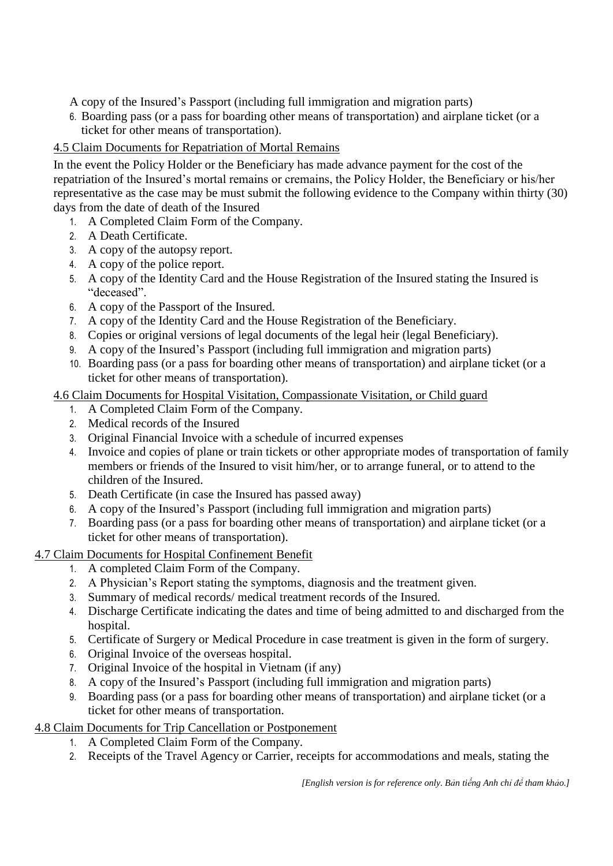A copy of the Insured's Passport (including full immigration and migration parts)

6. Boarding pass (or a pass for boarding other means of transportation) and airplane ticket (or a ticket for other means of transportation).

# 4.5 Claim Documents for Repatriation of Mortal Remains

In the event the Policy Holder or the Beneficiary has made advance payment for the cost of the repatriation of the Insured's mortal remains or cremains, the Policy Holder, the Beneficiary or his/her representative as the case may be must submit the following evidence to the Company within thirty (30) days from the date of death of the Insured

- 1. A Completed Claim Form of the Company.
- 2. A Death Certificate.
- 3. A copy of the autopsy report.
- 4. A copy of the police report.
- 5. A copy of the Identity Card and the House Registration of the Insured stating the Insured is "deceased".
- 6. A copy of the Passport of the Insured.
- 7. A copy of the Identity Card and the House Registration of the Beneficiary.
- 8. Copies or original versions of legal documents of the legal heir (legal Beneficiary).
- 9. A copy of the Insured's Passport (including full immigration and migration parts)
- 10. Boarding pass (or a pass for boarding other means of transportation) and airplane ticket (or a ticket for other means of transportation).
- 4.6 Claim Documents for Hospital Visitation, Compassionate Visitation, or Child guard
	- 1. A Completed Claim Form of the Company.
	- 2. Medical records of the Insured
	- 3. Original Financial Invoice with a schedule of incurred expenses
	- 4. Invoice and copies of plane or train tickets or other appropriate modes of transportation of family members or friends of the Insured to visit him/her, or to arrange funeral, or to attend to the children of the Insured.
	- 5. Death Certificate (in case the Insured has passed away)
	- 6. A copy of the Insured's Passport (including full immigration and migration parts)
	- 7. Boarding pass (or a pass for boarding other means of transportation) and airplane ticket (or a ticket for other means of transportation).

## 4.7 Claim Documents for Hospital Confinement Benefit

- 1. A completed Claim Form of the Company.
- 2. A Physician's Report stating the symptoms, diagnosis and the treatment given.
- 3. Summary of medical records/ medical treatment records of the Insured.
- 4. Discharge Certificate indicating the dates and time of being admitted to and discharged from the hospital.
- 5. Certificate of Surgery or Medical Procedure in case treatment is given in the form of surgery.
- 6. Original Invoice of the overseas hospital.
- 7. Original Invoice of the hospital in Vietnam (if any)
- 8. A copy of the Insured's Passport (including full immigration and migration parts)
- 9. Boarding pass (or a pass for boarding other means of transportation) and airplane ticket (or a ticket for other means of transportation.

## 4.8 Claim Documents for Trip Cancellation or Postponement

- 1. A Completed Claim Form of the Company.
- 2. Receipts of the Travel Agency or Carrier, receipts for accommodations and meals, stating the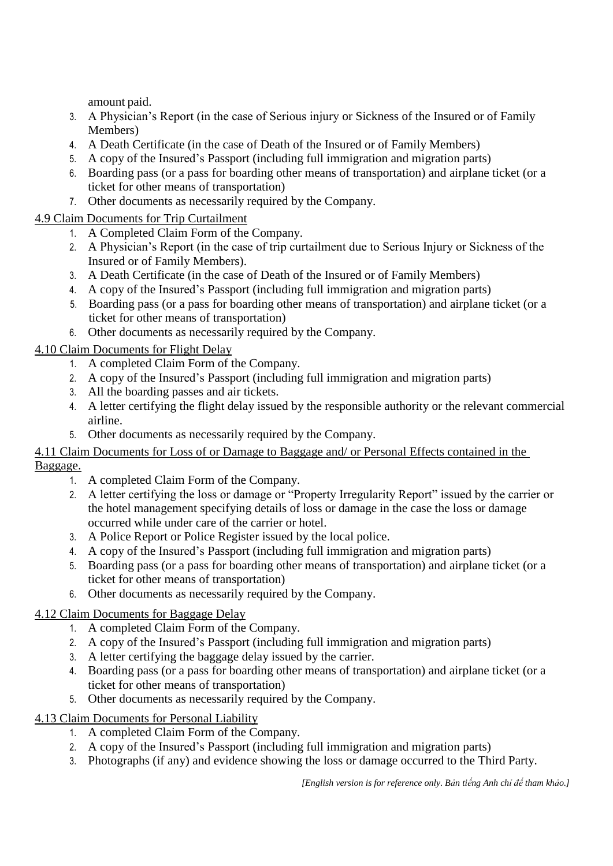amount paid.

- 3. A Physician's Report (in the case of Serious injury or Sickness of the Insured or of Family Members)
- 4. A Death Certificate (in the case of Death of the Insured or of Family Members)
- 5. A copy of the Insured's Passport (including full immigration and migration parts)
- 6. Boarding pass (or a pass for boarding other means of transportation) and airplane ticket (or a ticket for other means of transportation)
- 7. Other documents as necessarily required by the Company.

# 4.9 Claim Documents for Trip Curtailment

- 1. A Completed Claim Form of the Company.
- 2. A Physician's Report (in the case of trip curtailment due to Serious Injury or Sickness of the Insured or of Family Members).
- 3. A Death Certificate (in the case of Death of the Insured or of Family Members)
- 4. A copy of the Insured's Passport (including full immigration and migration parts)
- 5. Boarding pass (or a pass for boarding other means of transportation) and airplane ticket (or a ticket for other means of transportation)
- 6. Other documents as necessarily required by the Company.

# 4.10 Claim Documents for Flight Delay

- 1. A completed Claim Form of the Company.
- 2. A copy of the Insured's Passport (including full immigration and migration parts)
- 3. All the boarding passes and air tickets.
- 4. A letter certifying the flight delay issued by the responsible authority or the relevant commercial airline.
- 5. Other documents as necessarily required by the Company.

## 4.11 Claim Documents for Loss of or Damage to Baggage and/ or Personal Effects contained in the Baggage.

- 1. A completed Claim Form of the Company.
- 2. A letter certifying the loss or damage or "Property Irregularity Report" issued by the carrier or the hotel management specifying details of loss or damage in the case the loss or damage occurred while under care of the carrier or hotel.
- 3. A Police Report or Police Register issued by the local police.
- 4. A copy of the Insured's Passport (including full immigration and migration parts)
- 5. Boarding pass (or a pass for boarding other means of transportation) and airplane ticket (or a ticket for other means of transportation)
- 6. Other documents as necessarily required by the Company.

## 4.12 Claim Documents for Baggage Delay

- 1. A completed Claim Form of the Company.
- 2. A copy of the Insured's Passport (including full immigration and migration parts)
- 3. A letter certifying the baggage delay issued by the carrier.
- 4. Boarding pass (or a pass for boarding other means of transportation) and airplane ticket (or a ticket for other means of transportation)
- 5. Other documents as necessarily required by the Company.

# 4.13 Claim Documents for Personal Liability

- 1. A completed Claim Form of the Company.
- 2. A copy of the Insured's Passport (including full immigration and migration parts)
- 3. Photographs (if any) and evidence showing the loss or damage occurred to the Third Party.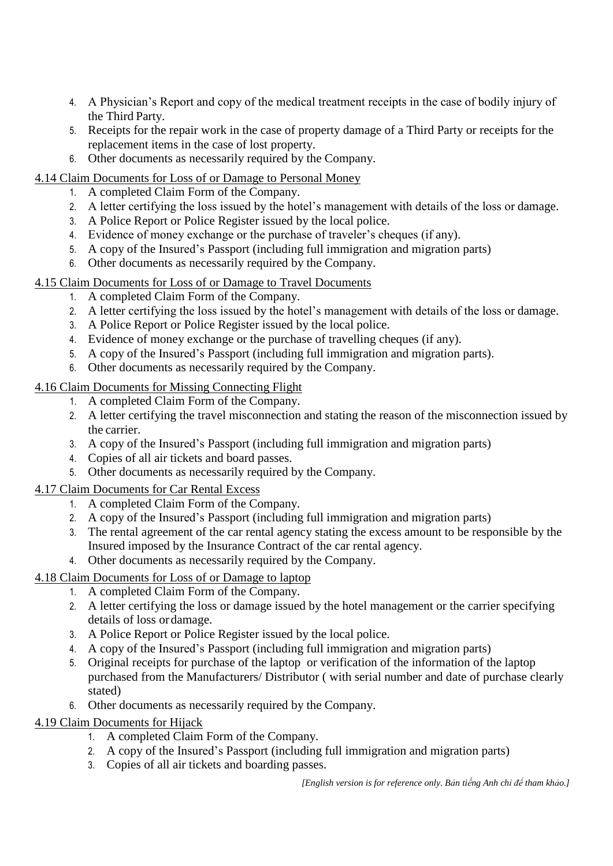- 4. A Physician's Report and copy of the medical treatment receipts in the case of bodily injury of the Third Party.
- 5. Receipts for the repair work in the case of property damage of a Third Party or receipts for the replacement items in the case of lost property.
- 6. Other documents as necessarily required by the Company.

# 4.14 Claim Documents for Loss of or Damage to Personal Money

- 1. A completed Claim Form of the Company.
- 2. A letter certifying the loss issued by the hotel's management with details of the loss or damage.
- 3. A Police Report or Police Register issued by the local police.
- 4. Evidence of money exchange or the purchase of traveler's cheques (if any).
- 5. A copy of the Insured's Passport (including full immigration and migration parts)
- 6. Other documents as necessarily required by the Company.
- 4.15 Claim Documents for Loss of or Damage to Travel Documents
	- 1. A completed Claim Form of the Company.
	- 2. A letter certifying the loss issued by the hotel's management with details of the loss or damage.
	- 3. A Police Report or Police Register issued by the local police.
	- 4. Evidence of money exchange or the purchase of travelling cheques (if any).
	- 5. A copy of the Insured's Passport (including full immigration and migration parts).
	- 6. Other documents as necessarily required by the Company.

# 4.16 Claim Documents for Missing Connecting Flight

- 1. A completed Claim Form of the Company.
- 2. A letter certifying the travel misconnection and stating the reason of the misconnection issued by the carrier.
- 3. A copy of the Insured's Passport (including full immigration and migration parts)
- 4. Copies of all air tickets and board passes.
- 5. Other documents as necessarily required by the Company.

# 4.17 Claim Documents for Car Rental Excess

- 1. A completed Claim Form of the Company.
- 2. A copy of the Insured's Passport (including full immigration and migration parts)
- 3. The rental agreement of the car rental agency stating the excess amount to be responsible by the Insured imposed by the Insurance Contract of the car rental agency.
- 4. Other documents as necessarily required by the Company.

# 4.18 Claim Documents for Loss of or Damage to laptop

- 1. A completed Claim Form of the Company.
- 2. A letter certifying the loss or damage issued by the hotel management or the carrier specifying details of loss ordamage.
- 3. A Police Report or Police Register issued by the local police.
- 4. A copy of the Insured's Passport (including full immigration and migration parts)
- 5. Original receipts for purchase of the laptop or verification of the information of the laptop purchased from the Manufacturers/ Distributor ( with serial number and date of purchase clearly stated)
- 6. Other documents as necessarily required by the Company.

# 4.19 Claim Documents for Hijack

- 1. A completed Claim Form of the Company.
- 2. A copy of the Insured's Passport (including full immigration and migration parts)
- 3. Copies of all air tickets and boarding passes.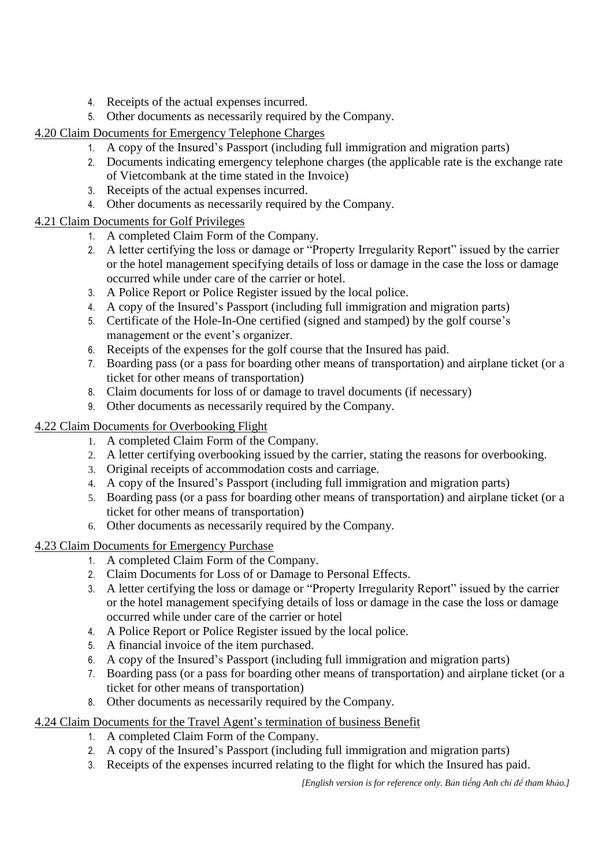- 4. Receipts of the actual expenses incurred.
- 5. Other documents as necessarily required by the Company.

# 4.20 Claim Documents for Emergency Telephone Charges

- 1. A copy of the Insured's Passport (including full immigration and migration parts)
- 2. Documents indicating emergency telephone charges (the applicable rate is the exchange rate of Vietcombank at the time stated in the Invoice)
- 3. Receipts of the actual expenses incurred.
- 4. Other documents as necessarily required by the Company.

# 4.21 Claim Documents for Golf Privileges

- 1. A completed Claim Form of the Company.
- 2. A letter certifying the loss or damage or "Property Irregularity Report" issued by the carrier or the hotel management specifying details of loss or damage in the case the loss or damage occurred while under care of the carrier or hotel.
- 3. A Police Report or Police Register issued by the local police.
- 4. A copy of the Insured's Passport (including full immigration and migration parts)
- 5. Certificate of the Hole-In-One certified (signed and stamped) by the golf course's management or the event's organizer.
- 6. Receipts of the expenses for the golf course that the Insured has paid.
- 7. Boarding pass (or a pass for boarding other means of transportation) and airplane ticket (or a ticket for other means of transportation)
- 8. Claim documents for loss of or damage to travel documents (if necessary)
- 9. Other documents as necessarily required by the Company.

# 4.22 Claim Documents for Overbooking Flight

- 1. A completed Claim Form of the Company.
- 2. A letter certifying overbooking issued by the carrier, stating the reasons for overbooking.
- 3. Original receipts of accommodation costs and carriage.
- 4. A copy of the Insured's Passport (including full immigration and migration parts)
- 5. Boarding pass (or a pass for boarding other means of transportation) and airplane ticket (or a ticket for other means of transportation)
- 6. Other documents as necessarily required by the Company.

# 4.23 Claim Documents for Emergency Purchase

- 1. A completed Claim Form of the Company.
- 2. Claim Documents for Loss of or Damage to Personal Effects.
- 3. A letter certifying the loss or damage or "Property Irregularity Report" issued by the carrier or the hotel management specifying details of loss or damage in the case the loss or damage occurred while under care of the carrier or hotel
- 4. A Police Report or Police Register issued by the local police.
- 5. A financial invoice of the item purchased.
- 6. A copy of the Insured's Passport (including full immigration and migration parts)
- 7. Boarding pass (or a pass for boarding other means of transportation) and airplane ticket (or a ticket for other means of transportation)
- 8. Other documents as necessarily required by the Company.

# 4.24 Claim Documents for the Travel Agent's termination of business Benefit

- 1. A completed Claim Form of the Company.
- 2. A copy of the Insured's Passport (including full immigration and migration parts)
- 3. Receipts of the expenses incurred relating to the flight for which the Insured has paid.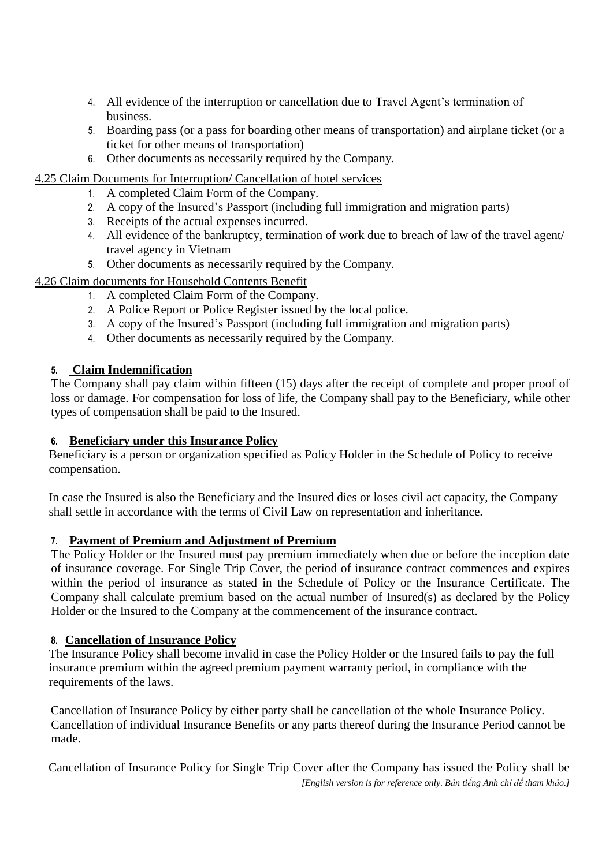- 4. All evidence of the interruption or cancellation due to Travel Agent's termination of business.
- 5. Boarding pass (or a pass for boarding other means of transportation) and airplane ticket (or a ticket for other means of transportation)
- 6. Other documents as necessarily required by the Company.

## 4.25 Claim Documents for Interruption/ Cancellation of hotel services

- 1. A completed Claim Form of the Company.
- 2. A copy of the Insured's Passport (including full immigration and migration parts)
- 3. Receipts of the actual expenses incurred.
- 4. All evidence of the bankruptcy, termination of work due to breach of law of the travel agent/ travel agency in Vietnam
- 5. Other documents as necessarily required by the Company.

## 4.26 Claim documents for Household Contents Benefit

- 1. A completed Claim Form of the Company.
- 2. A Police Report or Police Register issued by the local police.
- 3. A copy of the Insured's Passport (including full immigration and migration parts)
- 4. Other documents as necessarily required by the Company.

## **5. Claim Indemnification**

The Company shall pay claim within fifteen (15) days after the receipt of complete and proper proof of loss or damage. For compensation for loss of life, the Company shall pay to the Beneficiary, while other types of compensation shall be paid to the Insured.

## **6. Beneficiary under this Insurance Policy**

Beneficiary is a person or organization specified as Policy Holder in the Schedule of Policy to receive compensation.

In case the Insured is also the Beneficiary and the Insured dies or loses civil act capacity, the Company shall settle in accordance with the terms of Civil Law on representation and inheritance.

## **7. Payment of Premium and Adjustment of Premium**

The Policy Holder or the Insured must pay premium immediately when due or before the inception date of insurance coverage. For Single Trip Cover, the period of insurance contract commences and expires within the period of insurance as stated in the Schedule of Policy or the Insurance Certificate. The Company shall calculate premium based on the actual number of Insured(s) as declared by the Policy Holder or the Insured to the Company at the commencement of the insurance contract.

## **8. Cancellation of Insurance Policy**

The Insurance Policy shall become invalid in case the Policy Holder or the Insured fails to pay the full insurance premium within the agreed premium payment warranty period, in compliance with the requirements of the laws.

Cancellation of Insurance Policy by either party shall be cancellation of the whole Insurance Policy. Cancellation of individual Insurance Benefits or any parts thereof during the Insurance Period cannot be made.

*[English version is for reference only. Bản tiếng Anh chỉ để tham khảo.]* Cancellation of Insurance Policy for Single Trip Cover after the Company has issued the Policy shall be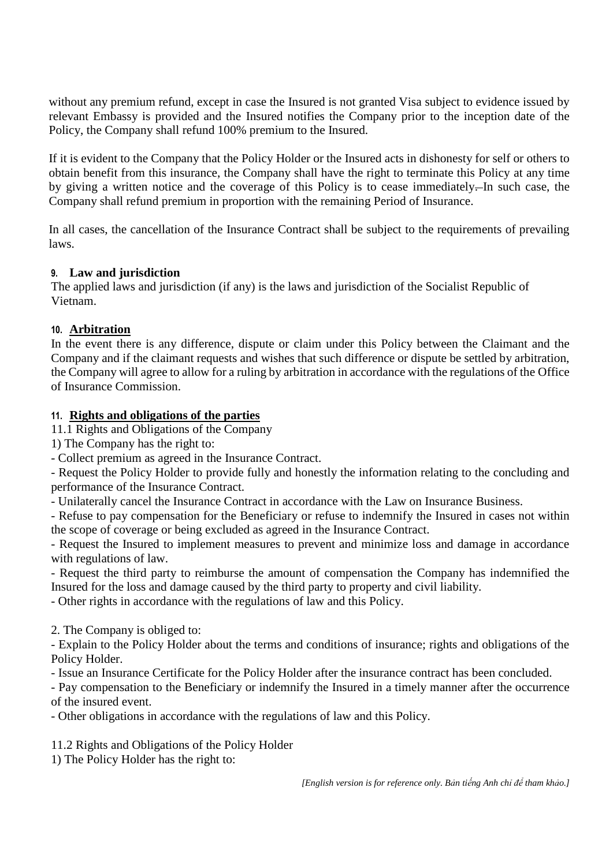without any premium refund, except in case the Insured is not granted Visa subject to evidence issued by relevant Embassy is provided and the Insured notifies the Company prior to the inception date of the Policy, the Company shall refund 100% premium to the Insured.

If it is evident to the Company that the Policy Holder or the Insured acts in dishonesty for self or others to obtain benefit from this insurance, the Company shall have the right to terminate this Policy at any time by giving a written notice and the coverage of this Policy is to cease immediately. In such case, the Company shall refund premium in proportion with the remaining Period of Insurance.

In all cases, the cancellation of the Insurance Contract shall be subject to the requirements of prevailing laws.

#### **9. Law and jurisdiction**

The applied laws and jurisdiction (if any) is the laws and jurisdiction of the Socialist Republic of Vietnam.

## **10. Arbitration**

In the event there is any difference, dispute or claim under this Policy between the Claimant and the Company and if the claimant requests and wishes that such difference or dispute be settled by arbitration, the Company will agree to allow for a ruling by arbitration in accordance with the regulations of the Office of Insurance Commission.

## **11. Rights and obligations of the parties**

11.1 Rights and Obligations of the Company

1) The Company has the right to:

- Collect premium as agreed in the Insurance Contract.

- Request the Policy Holder to provide fully and honestly the information relating to the concluding and performance of the Insurance Contract.

- Unilaterally cancel the Insurance Contract in accordance with the Law on Insurance Business.

- Refuse to pay compensation for the Beneficiary or refuse to indemnify the Insured in cases not within the scope of coverage or being excluded as agreed in the Insurance Contract.

- Request the Insured to implement measures to prevent and minimize loss and damage in accordance with regulations of law.

- Request the third party to reimburse the amount of compensation the Company has indemnified the Insured for the loss and damage caused by the third party to property and civil liability.

- Other rights in accordance with the regulations of law and this Policy.

2. The Company is obliged to:

- Explain to the Policy Holder about the terms and conditions of insurance; rights and obligations of the Policy Holder.

- Issue an Insurance Certificate for the Policy Holder after the insurance contract has been concluded.

- Pay compensation to the Beneficiary or indemnify the Insured in a timely manner after the occurrence of the insured event.

- Other obligations in accordance with the regulations of law and this Policy.

11.2 Rights and Obligations of the Policy Holder

1) The Policy Holder has the right to: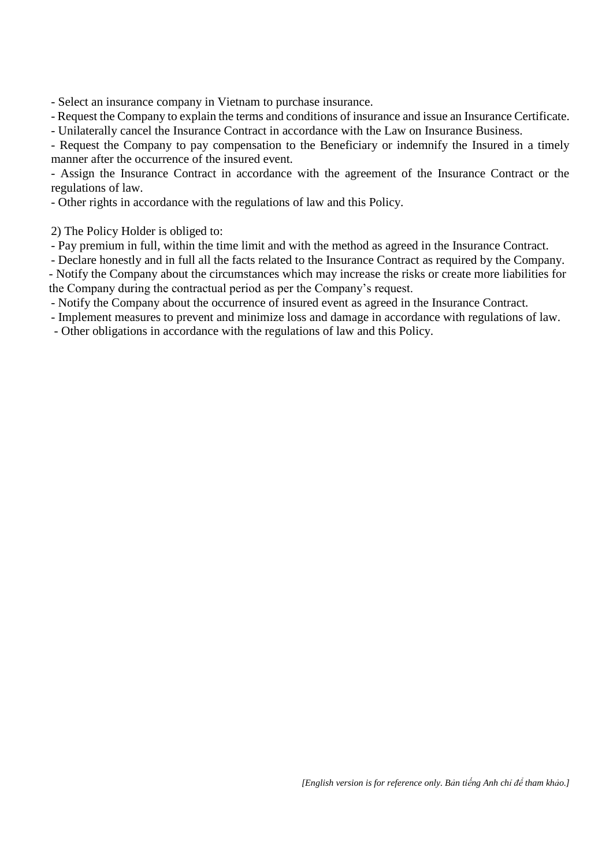- Select an insurance company in Vietnam to purchase insurance.

- Request the Company to explain the terms and conditions of insurance and issue an Insurance Certificate.

- Unilaterally cancel the Insurance Contract in accordance with the Law on Insurance Business.

- Request the Company to pay compensation to the Beneficiary or indemnify the Insured in a timely manner after the occurrence of the insured event.

- Assign the Insurance Contract in accordance with the agreement of the Insurance Contract or the regulations of law.

- Other rights in accordance with the regulations of law and this Policy.

2) The Policy Holder is obliged to:

- Pay premium in full, within the time limit and with the method as agreed in the Insurance Contract.

- Declare honestly and in full all the facts related to the Insurance Contract as required by the Company.

- Notify the Company about the circumstances which may increase the risks or create more liabilities for the Company during the contractual period as per the Company's request.

- Notify the Company about the occurrence of insured event as agreed in the Insurance Contract.

- Implement measures to prevent and minimize loss and damage in accordance with regulations of law.

- Other obligations in accordance with the regulations of law and this Policy.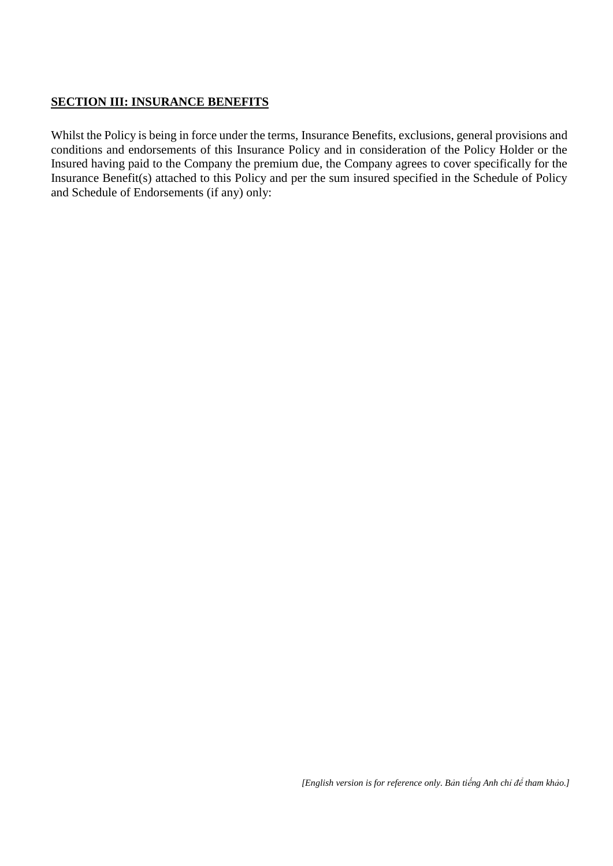## **SECTION III: INSURANCE BENEFITS**

Whilst the Policy is being in force under the terms, Insurance Benefits, exclusions, general provisions and conditions and endorsements of this Insurance Policy and in consideration of the Policy Holder or the Insured having paid to the Company the premium due, the Company agrees to cover specifically for the Insurance Benefit(s) attached to this Policy and per the sum insured specified in the Schedule of Policy and Schedule of Endorsements (if any) only: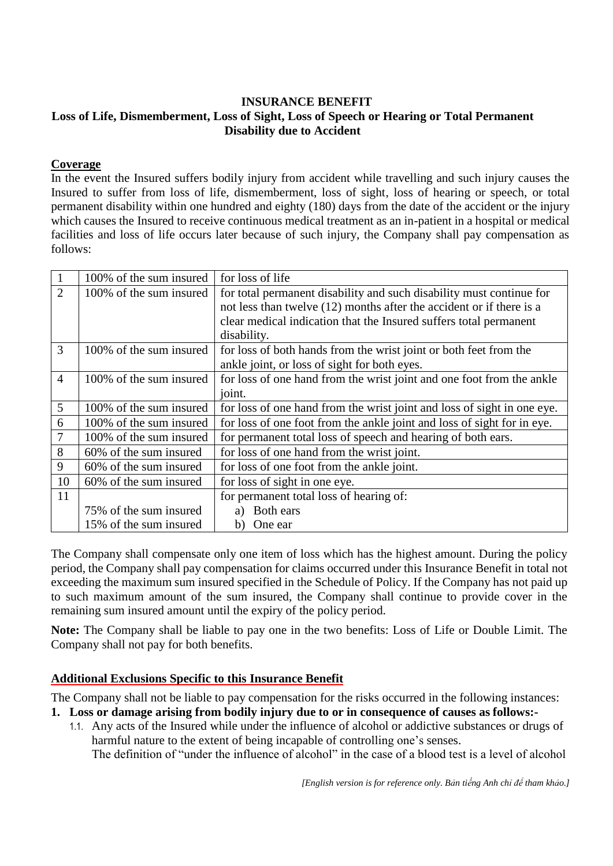#### **INSURANCE BENEFIT Loss of Life, Dismemberment, Loss of Sight, Loss of Speech or Hearing or Total Permanent Disability due to Accident**

#### **Coverage**

In the event the Insured suffers bodily injury from accident while travelling and such injury causes the Insured to suffer from loss of life, dismemberment, loss of sight, loss of hearing or speech, or total permanent disability within one hundred and eighty (180) days from the date of the accident or the injury which causes the Insured to receive continuous medical treatment as an in-patient in a hospital or medical facilities and loss of life occurs later because of such injury, the Company shall pay compensation as follows:

| $\mathbf{1}$   | 100% of the sum insured | for loss of life                                                        |
|----------------|-------------------------|-------------------------------------------------------------------------|
| $\overline{2}$ | 100% of the sum insured | for total permanent disability and such disability must continue for    |
|                |                         | not less than twelve (12) months after the accident or if there is a    |
|                |                         | clear medical indication that the Insured suffers total permanent       |
|                |                         | disability.                                                             |
| $\overline{3}$ | 100% of the sum insured | for loss of both hands from the wrist joint or both feet from the       |
|                |                         | ankle joint, or loss of sight for both eyes.                            |
| $\overline{4}$ | 100% of the sum insured | for loss of one hand from the wrist joint and one foot from the ankle   |
|                |                         | joint.                                                                  |
| 5              | 100% of the sum insured | for loss of one hand from the wrist joint and loss of sight in one eye. |
| 6              | 100% of the sum insured | for loss of one foot from the ankle joint and loss of sight for in eye. |
| 7              | 100% of the sum insured | for permanent total loss of speech and hearing of both ears.            |
| 8              | 60% of the sum insured  | for loss of one hand from the wrist joint.                              |
| 9              | 60% of the sum insured  | for loss of one foot from the ankle joint.                              |
| 10             | 60% of the sum insured  | for loss of sight in one eye.                                           |
| 11             |                         | for permanent total loss of hearing of:                                 |
|                | 75% of the sum insured  | Both ears<br>a)                                                         |
|                | 15% of the sum insured  | One ear<br>b)                                                           |

The Company shall compensate only one item of loss which has the highest amount. During the policy period, the Company shall pay compensation for claims occurred under this Insurance Benefit in total not exceeding the maximum sum insured specified in the Schedule of Policy. If the Company has not paid up to such maximum amount of the sum insured, the Company shall continue to provide cover in the remaining sum insured amount until the expiry of the policy period.

**Note:** The Company shall be liable to pay one in the two benefits: Loss of Life or Double Limit. The Company shall not pay for both benefits.

#### **Additional Exclusions Specific to this Insurance Benefit**

- **1. Loss or damage arising from bodily injury due to or in consequence of causes as follows:-**
	- 1.1. Any acts of the Insured while under the influence of alcohol or addictive substances or drugs of harmful nature to the extent of being incapable of controlling one's senses. The definition of "under the influence of alcohol" in the case of a blood test is a level of alcohol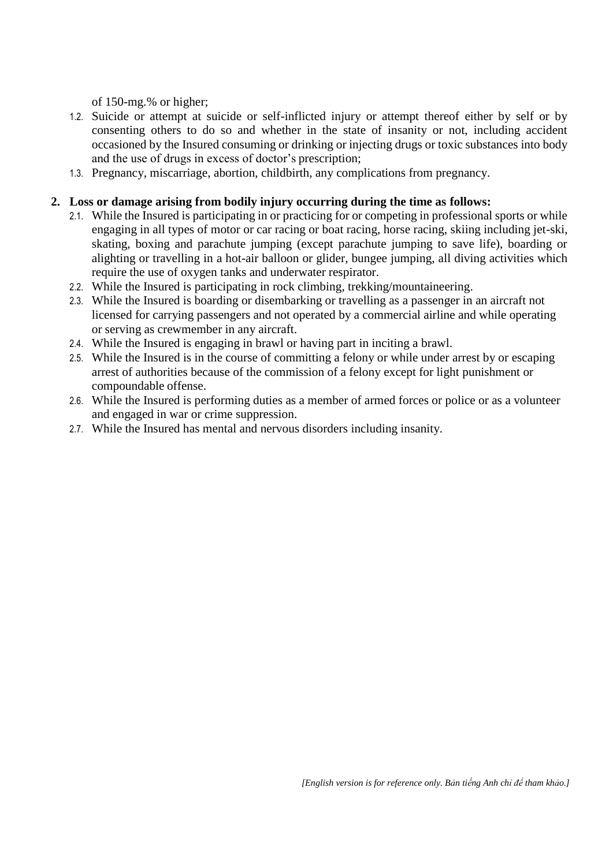of 150-mg.% or higher;

- 1.2. Suicide or attempt at suicide or self-inflicted injury or attempt thereof either by self or by consenting others to do so and whether in the state of insanity or not, including accident occasioned by the Insured consuming or drinking or injecting drugs or toxic substances into body and the use of drugs in excess of doctor's prescription;
- 1.3. Pregnancy, miscarriage, abortion, childbirth, any complications from pregnancy.

#### **2. Loss or damage arising from bodily injury occurring during the time as follows:**

- 2.1. While the Insured is participating in or practicing for or competing in professional sports or while engaging in all types of motor or car racing or boat racing, horse racing, skiing including jet-ski, skating, boxing and parachute jumping (except parachute jumping to save life), boarding or alighting or travelling in a hot-air balloon or glider, bungee jumping, all diving activities which require the use of oxygen tanks and underwater respirator.
- 2.2. While the Insured is participating in rock climbing, trekking/mountaineering.
- 2.3. While the Insured is boarding or disembarking or travelling as a passenger in an aircraft not licensed for carrying passengers and not operated by a commercial airline and while operating or serving as crewmember in any aircraft.
- 2.4. While the Insured is engaging in brawl or having part in inciting a brawl.
- 2.5. While the Insured is in the course of committing a felony or while under arrest by or escaping arrest of authorities because of the commission of a felony except for light punishment or compoundable offense.
- 2.6. While the Insured is performing duties as a member of armed forces or police or as a volunteer and engaged in war or crime suppression.
- 2.7. While the Insured has mental and nervous disorders including insanity.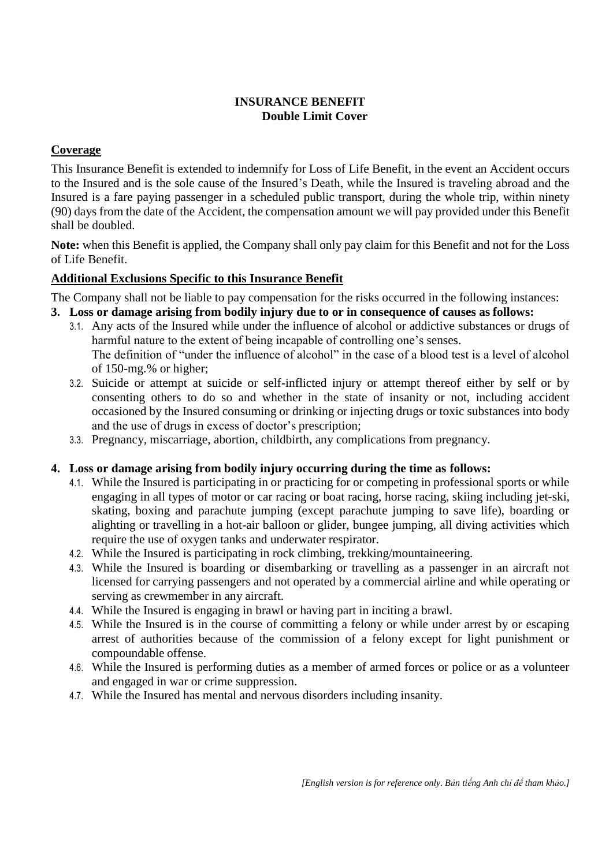## **INSURANCE BENEFIT Double Limit Cover**

## **Coverage**

This Insurance Benefit is extended to indemnify for Loss of Life Benefit, in the event an Accident occurs to the Insured and is the sole cause of the Insured's Death, while the Insured is traveling abroad and the Insured is a fare paying passenger in a scheduled public transport, during the whole trip, within ninety (90) days from the date of the Accident, the compensation amount we will pay provided under this Benefit shall be doubled.

**Note:** when this Benefit is applied, the Company shall only pay claim for this Benefit and not for the Loss of Life Benefit.

## **Additional Exclusions Specific to this Insurance Benefit**

The Company shall not be liable to pay compensation for the risks occurred in the following instances:

- **3. Loss or damage arising from bodily injury due to or in consequence of causes as follows:**
	- 3.1. Any acts of the Insured while under the influence of alcohol or addictive substances or drugs of harmful nature to the extent of being incapable of controlling one's senses. The definition of "under the influence of alcohol" in the case of a blood test is a level of alcohol of 150-mg.% or higher;
	- 3.2. Suicide or attempt at suicide or self-inflicted injury or attempt thereof either by self or by consenting others to do so and whether in the state of insanity or not, including accident occasioned by the Insured consuming or drinking or injecting drugs or toxic substances into body and the use of drugs in excess of doctor's prescription;
	- 3.3. Pregnancy, miscarriage, abortion, childbirth, any complications from pregnancy.

## **4. Loss or damage arising from bodily injury occurring during the time as follows:**

- 4.1. While the Insured is participating in or practicing for or competing in professional sports or while engaging in all types of motor or car racing or boat racing, horse racing, skiing including jet-ski, skating, boxing and parachute jumping (except parachute jumping to save life), boarding or alighting or travelling in a hot-air balloon or glider, bungee jumping, all diving activities which require the use of oxygen tanks and underwater respirator.
- 4.2. While the Insured is participating in rock climbing, trekking/mountaineering.
- 4.3. While the Insured is boarding or disembarking or travelling as a passenger in an aircraft not licensed for carrying passengers and not operated by a commercial airline and while operating or serving as crewmember in any aircraft.
- 4.4. While the Insured is engaging in brawl or having part in inciting a brawl.
- 4.5. While the Insured is in the course of committing a felony or while under arrest by or escaping arrest of authorities because of the commission of a felony except for light punishment or compoundable offense.
- 4.6. While the Insured is performing duties as a member of armed forces or police or as a volunteer and engaged in war or crime suppression.
- 4.7. While the Insured has mental and nervous disorders including insanity.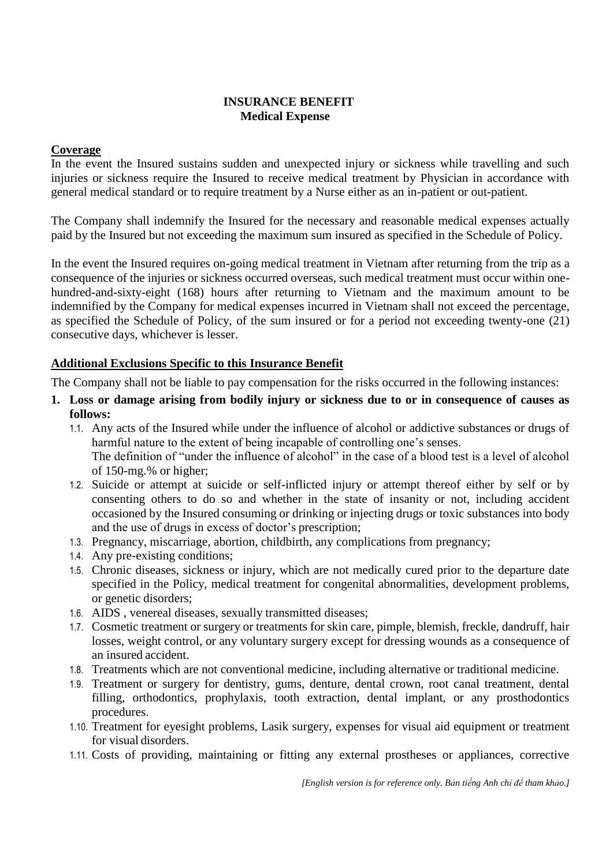#### **INSURANCE BENEFIT Medical Expense**

#### **Coverage**

In the event the Insured sustains sudden and unexpected injury or sickness while travelling and such injuries or sickness require the Insured to receive medical treatment by Physician in accordance with general medical standard or to require treatment by a Nurse either as an in-patient or out-patient.

The Company shall indemnify the Insured for the necessary and reasonable medical expenses actually paid by the Insured but not exceeding the maximum sum insured as specified in the Schedule of Policy.

In the event the Insured requires on-going medical treatment in Vietnam after returning from the trip as a consequence of the injuries or sickness occurred overseas, such medical treatment must occur within onehundred-and-sixty-eight (168) hours after returning to Vietnam and the maximum amount to be indemnified by the Company for medical expenses incurred in Vietnam shall not exceed the percentage, as specified the Schedule of Policy, of the sum insured or for a period not exceeding twenty-one (21) consecutive days, whichever is lesser.

## **Additional Exclusions Specific to this Insurance Benefit**

- **1. Loss or damage arising from bodily injury or sickness due to or in consequence of causes as follows:**
	- 1.1. Any acts of the Insured while under the influence of alcohol or addictive substances or drugs of harmful nature to the extent of being incapable of controlling one's senses. The definition of "under the influence of alcohol" in the case of a blood test is a level of alcohol of 150-mg.% or higher;
	- 1.2. Suicide or attempt at suicide or self-inflicted injury or attempt thereof either by self or by consenting others to do so and whether in the state of insanity or not, including accident occasioned by the Insured consuming or drinking or injecting drugs or toxic substances into body and the use of drugs in excess of doctor's prescription;
	- 1.3. Pregnancy, miscarriage, abortion, childbirth, any complications from pregnancy;
	- 1.4. Any pre-existing conditions;
	- 1.5. Chronic diseases, sickness or injury, which are not medically cured prior to the departure date specified in the Policy, medical treatment for congenital abnormalities, development problems, or genetic disorders;
	- 1.6. AIDS , venereal diseases, sexually transmitted diseases;
	- 1.7. Cosmetic treatment or surgery or treatments for skin care, pimple, blemish, freckle, dandruff, hair losses, weight control, or any voluntary surgery except for dressing wounds as a consequence of an insured accident.
	- 1.8. Treatments which are not conventional medicine, including alternative or traditional medicine.
	- 1.9. Treatment or surgery for dentistry, gums, denture, dental crown, root canal treatment, dental filling, orthodontics, prophylaxis, tooth extraction, dental implant, or any prosthodontics procedures.
	- 1.10. Treatment for eyesight problems, Lasik surgery, expenses for visual aid equipment or treatment for visual disorders.
	- 1.11. Costs of providing, maintaining or fitting any external prostheses or appliances, corrective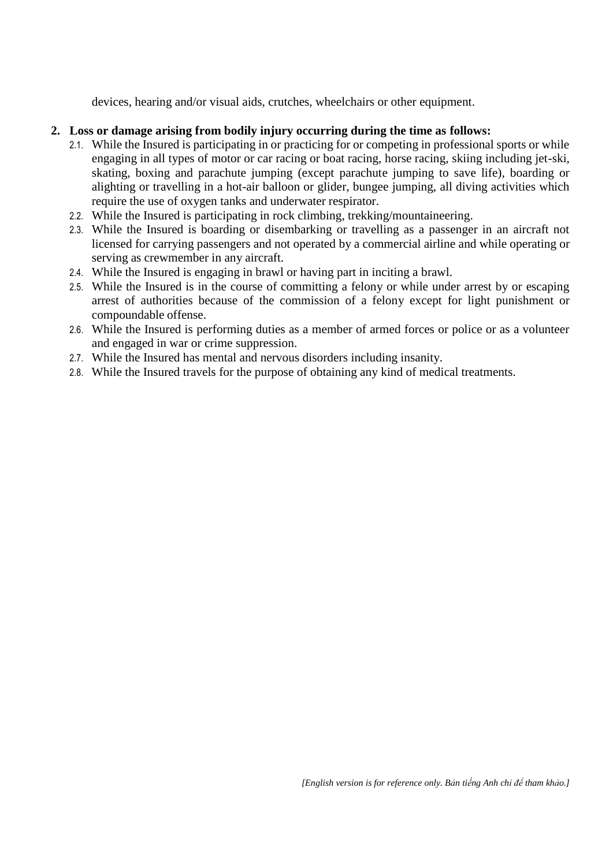devices, hearing and/or visual aids, crutches, wheelchairs or other equipment.

## **2. Loss or damage arising from bodily injury occurring during the time as follows:**

- 2.1. While the Insured is participating in or practicing for or competing in professional sports or while engaging in all types of motor or car racing or boat racing, horse racing, skiing including jet-ski, skating, boxing and parachute jumping (except parachute jumping to save life), boarding or alighting or travelling in a hot-air balloon or glider, bungee jumping, all diving activities which require the use of oxygen tanks and underwater respirator.
- 2.2. While the Insured is participating in rock climbing, trekking/mountaineering.
- 2.3. While the Insured is boarding or disembarking or travelling as a passenger in an aircraft not licensed for carrying passengers and not operated by a commercial airline and while operating or serving as crewmember in any aircraft.
- 2.4. While the Insured is engaging in brawl or having part in inciting a brawl.
- 2.5. While the Insured is in the course of committing a felony or while under arrest by or escaping arrest of authorities because of the commission of a felony except for light punishment or compoundable offense.
- 2.6. While the Insured is performing duties as a member of armed forces or police or as a volunteer and engaged in war or crime suppression.
- 2.7. While the Insured has mental and nervous disorders including insanity.
- 2.8. While the Insured travels for the purpose of obtaining any kind of medical treatments.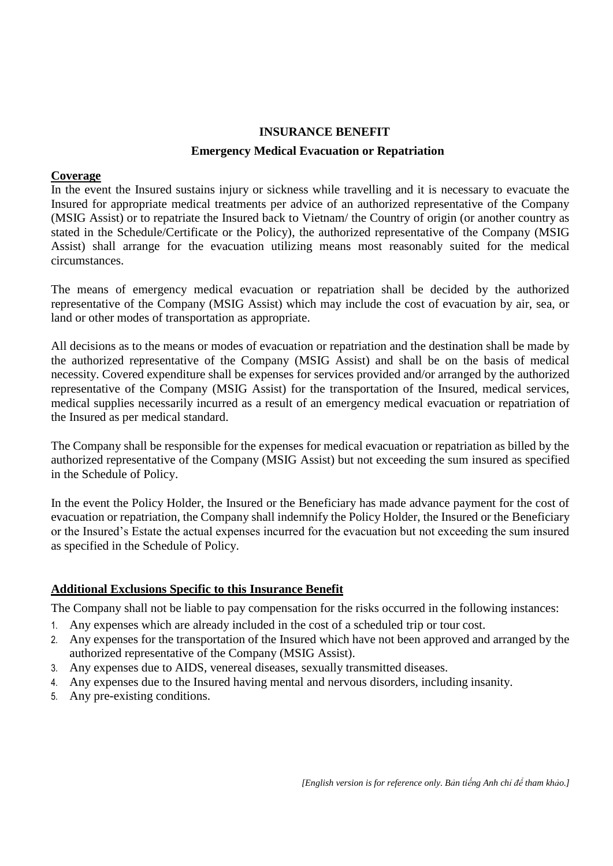# **INSURANCE BENEFIT**

#### **Emergency Medical Evacuation or Repatriation**

#### **Coverage**

In the event the Insured sustains injury or sickness while travelling and it is necessary to evacuate the Insured for appropriate medical treatments per advice of an authorized representative of the Company (MSIG Assist) or to repatriate the Insured back to Vietnam/ the Country of origin (or another country as stated in the Schedule/Certificate or the Policy), the authorized representative of the Company (MSIG Assist) shall arrange for the evacuation utilizing means most reasonably suited for the medical circumstances.

The means of emergency medical evacuation or repatriation shall be decided by the authorized representative of the Company (MSIG Assist) which may include the cost of evacuation by air, sea, or land or other modes of transportation as appropriate.

All decisions as to the means or modes of evacuation or repatriation and the destination shall be made by the authorized representative of the Company (MSIG Assist) and shall be on the basis of medical necessity. Covered expenditure shall be expenses for services provided and/or arranged by the authorized representative of the Company (MSIG Assist) for the transportation of the Insured, medical services, medical supplies necessarily incurred as a result of an emergency medical evacuation or repatriation of the Insured as per medical standard.

The Company shall be responsible for the expenses for medical evacuation or repatriation as billed by the authorized representative of the Company (MSIG Assist) but not exceeding the sum insured as specified in the Schedule of Policy.

In the event the Policy Holder, the Insured or the Beneficiary has made advance payment for the cost of evacuation or repatriation, the Company shall indemnify the Policy Holder, the Insured or the Beneficiary or the Insured's Estate the actual expenses incurred for the evacuation but not exceeding the sum insured as specified in the Schedule of Policy.

## **Additional Exclusions Specific to this Insurance Benefit**

- 1. Any expenses which are already included in the cost of a scheduled trip or tour cost.
- 2. Any expenses for the transportation of the Insured which have not been approved and arranged by the authorized representative of the Company (MSIG Assist).
- 3. Any expenses due to AIDS, venereal diseases, sexually transmitted diseases.
- 4. Any expenses due to the Insured having mental and nervous disorders, including insanity.
- 5. Any pre-existing conditions.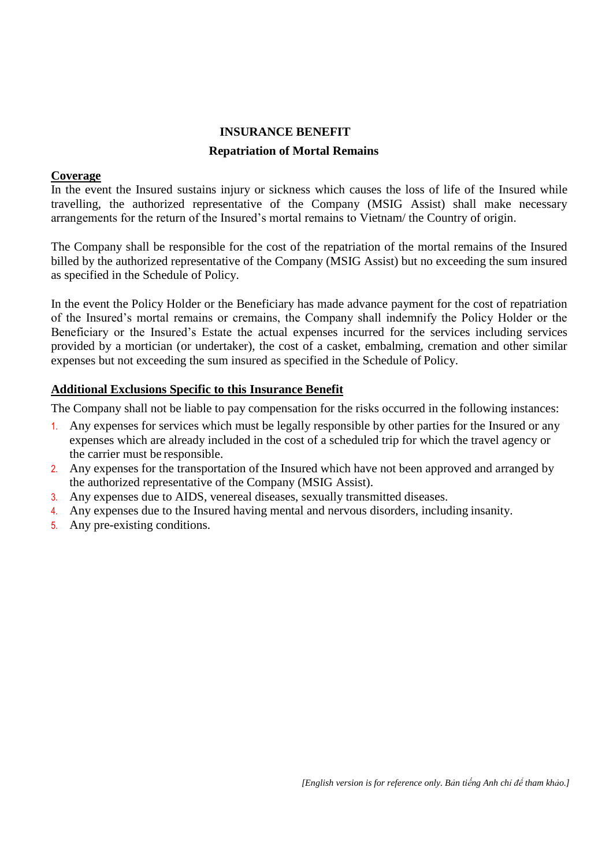# **INSURANCE BENEFIT Repatriation of Mortal Remains**

#### **Coverage**

In the event the Insured sustains injury or sickness which causes the loss of life of the Insured while travelling, the authorized representative of the Company (MSIG Assist) shall make necessary arrangements for the return of the Insured's mortal remains to Vietnam/ the Country of origin.

The Company shall be responsible for the cost of the repatriation of the mortal remains of the Insured billed by the authorized representative of the Company (MSIG Assist) but no exceeding the sum insured as specified in the Schedule of Policy.

In the event the Policy Holder or the Beneficiary has made advance payment for the cost of repatriation of the Insured's mortal remains or cremains, the Company shall indemnify the Policy Holder or the Beneficiary or the Insured's Estate the actual expenses incurred for the services including services provided by a mortician (or undertaker), the cost of a casket, embalming, cremation and other similar expenses but not exceeding the sum insured as specified in the Schedule of Policy.

#### **Additional Exclusions Specific to this Insurance Benefit**

- 1. Any expenses for services which must be legally responsible by other parties for the Insured or any expenses which are already included in the cost of a scheduled trip for which the travel agency or the carrier must be responsible.
- 2. Any expenses for the transportation of the Insured which have not been approved and arranged by the authorized representative of the Company (MSIG Assist).
- 3. Any expenses due to AIDS, venereal diseases, sexually transmitted diseases.
- 4. Any expenses due to the Insured having mental and nervous disorders, including insanity.
- 5. Any pre-existing conditions.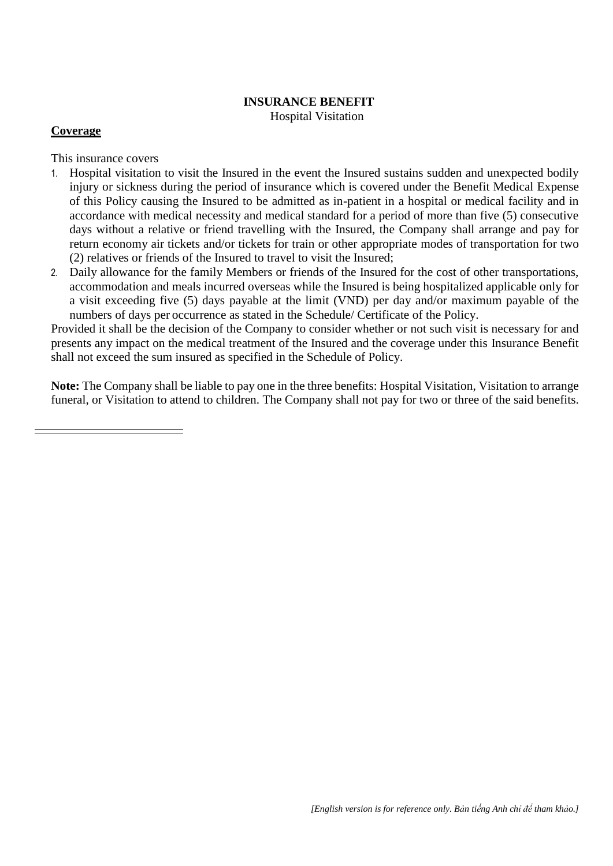#### **INSURANCE BENEFIT** Hospital Visitation

#### **Coverage**

This insurance covers

- 1. Hospital visitation to visit the Insured in the event the Insured sustains sudden and unexpected bodily injury or sickness during the period of insurance which is covered under the Benefit Medical Expense of this Policy causing the Insured to be admitted as in-patient in a hospital or medical facility and in accordance with medical necessity and medical standard for a period of more than five (5) consecutive days without a relative or friend travelling with the Insured, the Company shall arrange and pay for return economy air tickets and/or tickets for train or other appropriate modes of transportation for two (2) relatives or friends of the Insured to travel to visit the Insured;
- 2. Daily allowance for the family Members or friends of the Insured for the cost of other transportations, accommodation and meals incurred overseas while the Insured is being hospitalized applicable only for a visit exceeding five (5) days payable at the limit (VND) per day and/or maximum payable of the numbers of days per occurrence as stated in the Schedule/ Certificate of the Policy.

Provided it shall be the decision of the Company to consider whether or not such visit is necessary for and presents any impact on the medical treatment of the Insured and the coverage under this Insurance Benefit shall not exceed the sum insured as specified in the Schedule of Policy.

**Note:** The Company shall be liable to pay one in the three benefits: Hospital Visitation, Visitation to arrange funeral, or Visitation to attend to children. The Company shall not pay for two or three of the said benefits.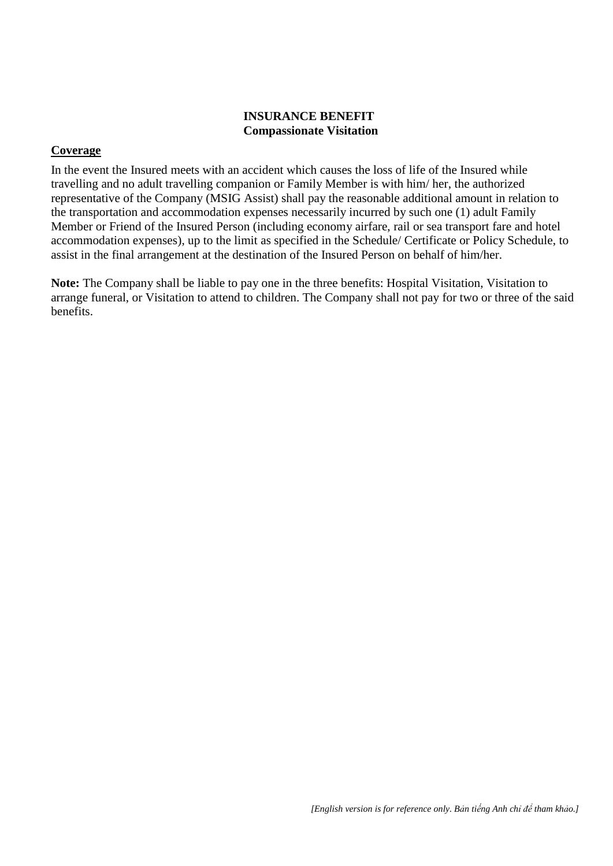#### **INSURANCE BENEFIT Compassionate Visitation**

## **Coverage**

In the event the Insured meets with an accident which causes the loss of life of the Insured while travelling and no adult travelling companion or Family Member is with him/ her, the authorized representative of the Company (MSIG Assist) shall pay the reasonable additional amount in relation to the transportation and accommodation expenses necessarily incurred by such one (1) adult Family Member or Friend of the Insured Person (including economy airfare, rail or sea transport fare and hotel accommodation expenses), up to the limit as specified in the Schedule/ Certificate or Policy Schedule, to assist in the final arrangement at the destination of the Insured Person on behalf of him/her.

**Note:** The Company shall be liable to pay one in the three benefits: Hospital Visitation, Visitation to arrange funeral, or Visitation to attend to children. The Company shall not pay for two or three of the said benefits.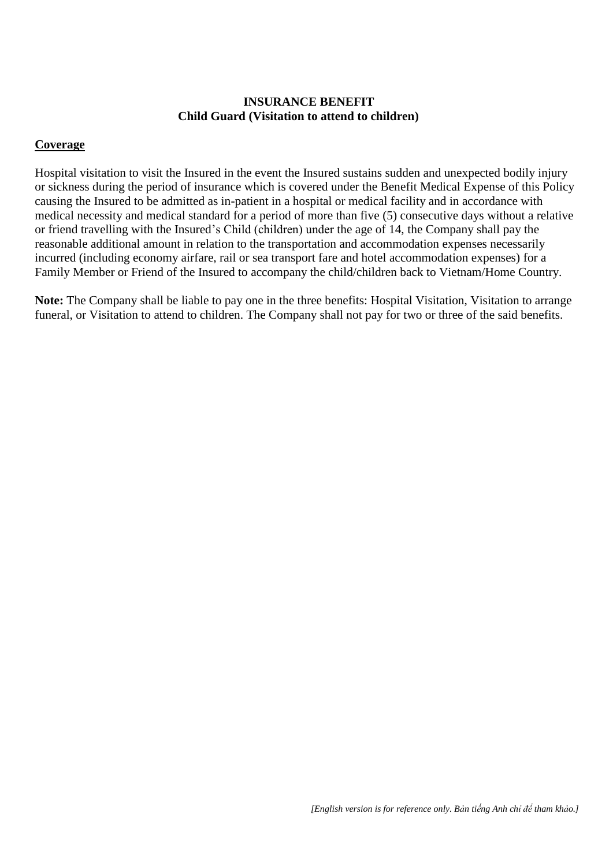#### **INSURANCE BENEFIT Child Guard (Visitation to attend to children)**

#### **Coverage**

Hospital visitation to visit the Insured in the event the Insured sustains sudden and unexpected bodily injury or sickness during the period of insurance which is covered under the Benefit Medical Expense of this Policy causing the Insured to be admitted as in-patient in a hospital or medical facility and in accordance with medical necessity and medical standard for a period of more than five (5) consecutive days without a relative or friend travelling with the Insured's Child (children) under the age of 14, the Company shall pay the reasonable additional amount in relation to the transportation and accommodation expenses necessarily incurred (including economy airfare, rail or sea transport fare and hotel accommodation expenses) for a Family Member or Friend of the Insured to accompany the child/children back to Vietnam/Home Country.

**Note:** The Company shall be liable to pay one in the three benefits: Hospital Visitation, Visitation to arrange funeral, or Visitation to attend to children. The Company shall not pay for two or three of the said benefits.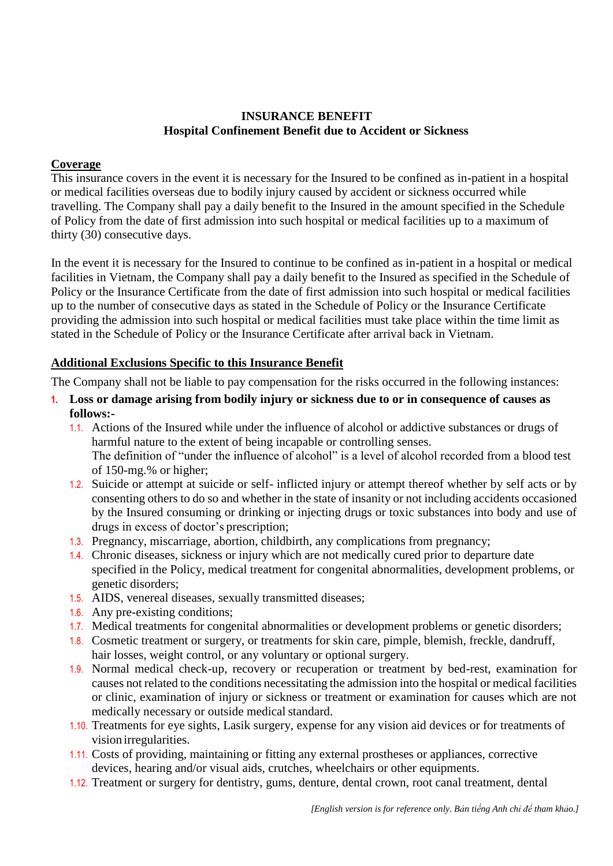## **INSURANCE BENEFIT Hospital Confinement Benefit due to Accident or Sickness**

## **Coverage**

This insurance covers in the event it is necessary for the Insured to be confined as in-patient in a hospital or medical facilities overseas due to bodily injury caused by accident or sickness occurred while travelling. The Company shall pay a daily benefit to the Insured in the amount specified in the Schedule of Policy from the date of first admission into such hospital or medical facilities up to a maximum of thirty (30) consecutive days.

In the event it is necessary for the Insured to continue to be confined as in-patient in a hospital or medical facilities in Vietnam, the Company shall pay a daily benefit to the Insured as specified in the Schedule of Policy or the Insurance Certificate from the date of first admission into such hospital or medical facilities up to the number of consecutive days as stated in the Schedule of Policy or the Insurance Certificate providing the admission into such hospital or medical facilities must take place within the time limit as stated in the Schedule of Policy or the Insurance Certificate after arrival back in Vietnam.

## **Additional Exclusions Specific to this Insurance Benefit**

- **1. Loss or damage arising from bodily injury or sickness due to or in consequence of causes as follows:-**
	- 1.1. Actions of the Insured while under the influence of alcohol or addictive substances or drugs of harmful nature to the extent of being incapable or controlling senses. The definition of "under the influence of alcohol" is a level of alcohol recorded from a blood test of 150-mg.% or higher;
	- 1.2. Suicide or attempt at suicide or self- inflicted injury or attempt thereof whether by self acts or by consenting others to do so and whether in the state of insanity or not including accidents occasioned by the Insured consuming or drinking or injecting drugs or toxic substances into body and use of drugs in excess of doctor's prescription;
	- 1.3. Pregnancy, miscarriage, abortion, childbirth, any complications from pregnancy;
	- 1.4. Chronic diseases, sickness or injury which are not medically cured prior to departure date specified in the Policy, medical treatment for congenital abnormalities, development problems, or genetic disorders;
	- 1.5. AIDS, venereal diseases, sexually transmitted diseases;
	- 1.6. Any pre-existing conditions;
	- 1.7. Medical treatments for congenital abnormalities or development problems or genetic disorders;
	- 1.8. Cosmetic treatment or surgery, or treatments for skin care, pimple, blemish, freckle, dandruff, hair losses, weight control, or any voluntary or optional surgery.
	- 1.9. Normal medical check-up, recovery or recuperation or treatment by bed-rest, examination for causes not related to the conditions necessitating the admission into the hospital or medical facilities or clinic, examination of injury or sickness or treatment or examination for causes which are not medically necessary or outside medical standard.
	- 1.10. Treatments for eye sights, Lasik surgery, expense for any vision aid devices or for treatments of vision irregularities.
	- 1.11. Costs of providing, maintaining or fitting any external prostheses or appliances, corrective devices, hearing and/or visual aids, crutches, wheelchairs or other equipments.
	- 1.12. Treatment or surgery for dentistry, gums, denture, dental crown, root canal treatment, dental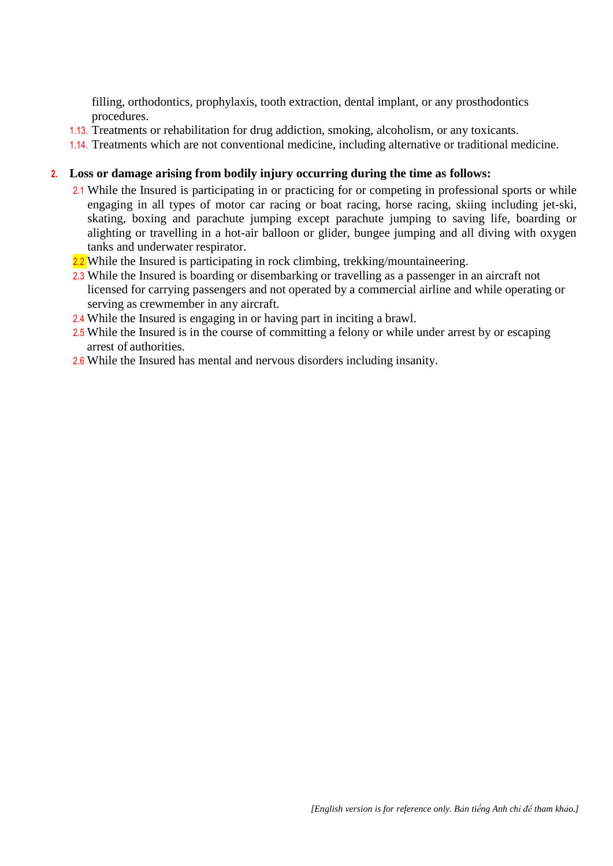filling, orthodontics, prophylaxis, tooth extraction, dental implant, or any prosthodontics procedures.

- 1.13. Treatments or rehabilitation for drug addiction, smoking, alcoholism, or any toxicants.
- 1.14. Treatments which are not conventional medicine, including alternative or traditional medicine.

#### **2. Loss or damage arising from bodily injury occurring during the time as follows:**

- 2.1 While the Insured is participating in or practicing for or competing in professional sports or while engaging in all types of motor car racing or boat racing, horse racing, skiing including jet-ski, skating, boxing and parachute jumping except parachute jumping to saving life, boarding or alighting or travelling in a hot-air balloon or glider, bungee jumping and all diving with oxygen tanks and underwater respirator.
- 2.2 While the Insured is participating in rock climbing, trekking/mountaineering.
- 2.3 While the Insured is boarding or disembarking or travelling as a passenger in an aircraft not licensed for carrying passengers and not operated by a commercial airline and while operating or serving as crewmember in any aircraft.
- 2.4 While the Insured is engaging in or having part in inciting a brawl.
- 2.5 While the Insured is in the course of committing a felony or while under arrest by or escaping arrest of authorities.
- 2.6 While the Insured has mental and nervous disorders including insanity.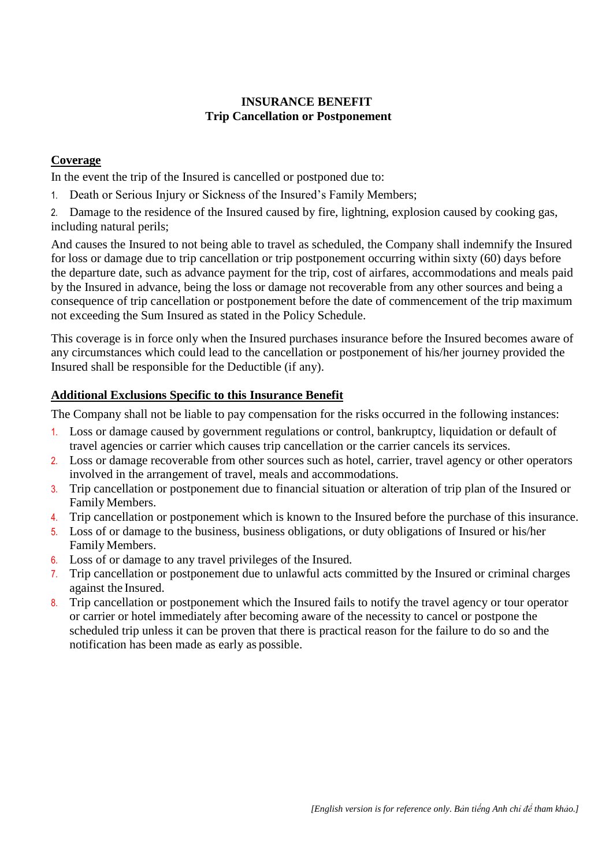## **INSURANCE BENEFIT Trip Cancellation or Postponement**

## **Coverage**

In the event the trip of the Insured is cancelled or postponed due to:

1. Death or Serious Injury or Sickness of the Insured's Family Members;

2. Damage to the residence of the Insured caused by fire, lightning, explosion caused by cooking gas, including natural perils;

And causes the Insured to not being able to travel as scheduled, the Company shall indemnify the Insured for loss or damage due to trip cancellation or trip postponement occurring within sixty (60) days before the departure date, such as advance payment for the trip, cost of airfares, accommodations and meals paid by the Insured in advance, being the loss or damage not recoverable from any other sources and being a consequence of trip cancellation or postponement before the date of commencement of the trip maximum not exceeding the Sum Insured as stated in the Policy Schedule.

This coverage is in force only when the Insured purchases insurance before the Insured becomes aware of any circumstances which could lead to the cancellation or postponement of his/her journey provided the Insured shall be responsible for the Deductible (if any).

## **Additional Exclusions Specific to this Insurance Benefit**

- 1. Loss or damage caused by government regulations or control, bankruptcy, liquidation or default of travel agencies or carrier which causes trip cancellation or the carrier cancels its services.
- 2. Loss or damage recoverable from other sources such as hotel, carrier, travel agency or other operators involved in the arrangement of travel, meals and accommodations.
- 3. Trip cancellation or postponement due to financial situation or alteration of trip plan of the Insured or Family Members.
- 4. Trip cancellation or postponement which is known to the Insured before the purchase of this insurance.
- 5. Loss of or damage to the business, business obligations, or duty obligations of Insured or his/her Family Members.
- 6. Loss of or damage to any travel privileges of the Insured.
- 7. Trip cancellation or postponement due to unlawful acts committed by the Insured or criminal charges against the Insured.
- 8. Trip cancellation or postponement which the Insured fails to notify the travel agency or tour operator or carrier or hotel immediately after becoming aware of the necessity to cancel or postpone the scheduled trip unless it can be proven that there is practical reason for the failure to do so and the notification has been made as early as possible.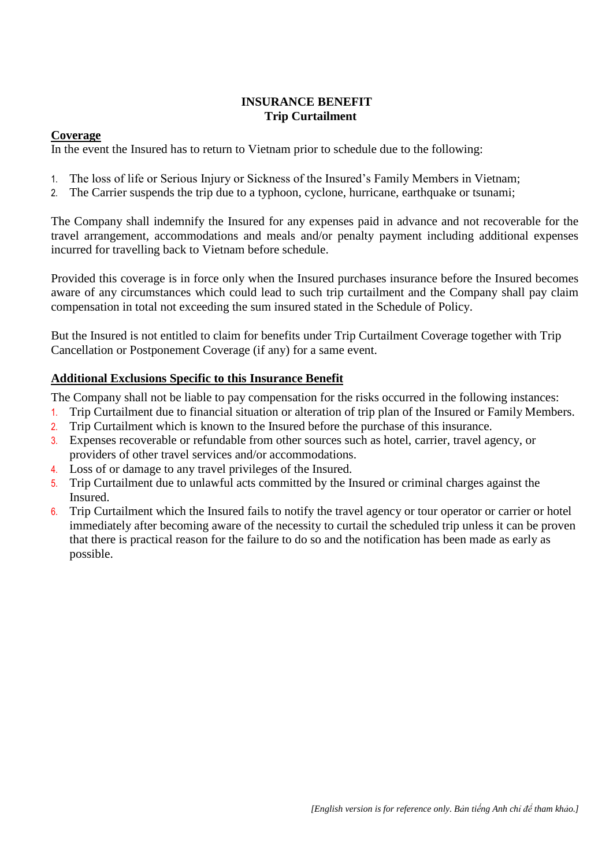## **INSURANCE BENEFIT Trip Curtailment**

#### **Coverage**

In the event the Insured has to return to Vietnam prior to schedule due to the following:

- 1. The loss of life or Serious Injury or Sickness of the Insured's Family Members in Vietnam;
- 2. The Carrier suspends the trip due to a typhoon, cyclone, hurricane, earthquake or tsunami;

The Company shall indemnify the Insured for any expenses paid in advance and not recoverable for the travel arrangement, accommodations and meals and/or penalty payment including additional expenses incurred for travelling back to Vietnam before schedule.

Provided this coverage is in force only when the Insured purchases insurance before the Insured becomes aware of any circumstances which could lead to such trip curtailment and the Company shall pay claim compensation in total not exceeding the sum insured stated in the Schedule of Policy.

But the Insured is not entitled to claim for benefits under Trip Curtailment Coverage together with Trip Cancellation or Postponement Coverage (if any) for a same event.

#### **Additional Exclusions Specific to this Insurance Benefit**

- 1. Trip Curtailment due to financial situation or alteration of trip plan of the Insured or Family Members.
- 2. Trip Curtailment which is known to the Insured before the purchase of this insurance.
- 3. Expenses recoverable or refundable from other sources such as hotel, carrier, travel agency, or providers of other travel services and/or accommodations.
- 4. Loss of or damage to any travel privileges of the Insured.
- 5. Trip Curtailment due to unlawful acts committed by the Insured or criminal charges against the Insured.
- 6. Trip Curtailment which the Insured fails to notify the travel agency or tour operator or carrier or hotel immediately after becoming aware of the necessity to curtail the scheduled trip unless it can be proven that there is practical reason for the failure to do so and the notification has been made as early as possible.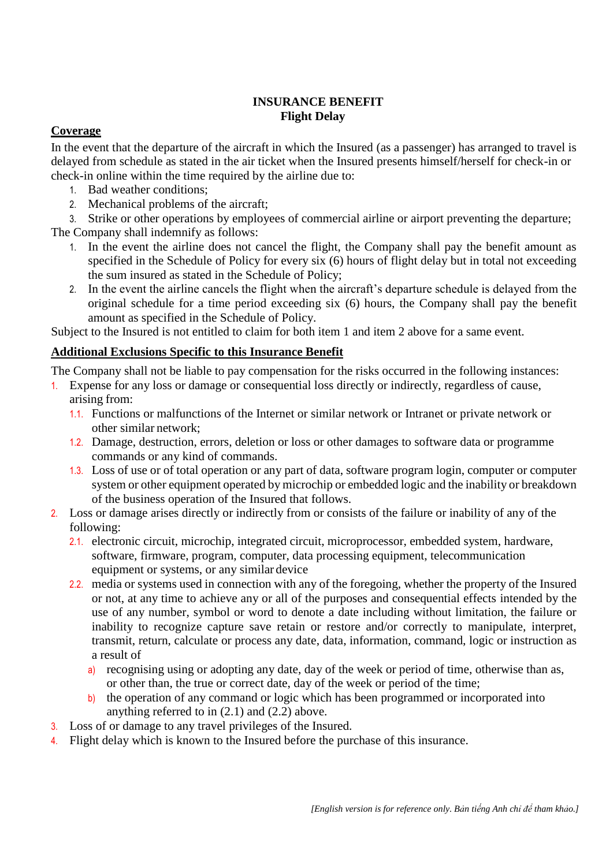## **INSURANCE BENEFIT Flight Delay**

## **Coverage**

In the event that the departure of the aircraft in which the Insured (as a passenger) has arranged to travel is delayed from schedule as stated in the air ticket when the Insured presents himself/herself for check-in or check-in online within the time required by the airline due to:

- 1. Bad weather conditions;
- 2. Mechanical problems of the aircraft;

3. Strike or other operations by employees of commercial airline or airport preventing the departure;

The Company shall indemnify as follows:

- 1. In the event the airline does not cancel the flight, the Company shall pay the benefit amount as specified in the Schedule of Policy for every six (6) hours of flight delay but in total not exceeding the sum insured as stated in the Schedule of Policy;
- 2. In the event the airline cancels the flight when the aircraft's departure schedule is delayed from the original schedule for a time period exceeding six (6) hours, the Company shall pay the benefit amount as specified in the Schedule of Policy.

Subject to the Insured is not entitled to claim for both item 1 and item 2 above for a same event.

## **Additional Exclusions Specific to this Insurance Benefit**

- 1. Expense for any loss or damage or consequential loss directly or indirectly, regardless of cause, arising from:
	- 1.1. Functions or malfunctions of the Internet or similar network or Intranet or private network or other similar network;
	- 1.2. Damage, destruction, errors, deletion or loss or other damages to software data or programme commands or any kind of commands.
	- 1.3. Loss of use or of total operation or any part of data, software program login, computer or computer system or other equipment operated by microchip or embedded logic and the inability or breakdown of the business operation of the Insured that follows.
- 2. Loss or damage arises directly or indirectly from or consists of the failure or inability of any of the following:
	- 2.1. electronic circuit, microchip, integrated circuit, microprocessor, embedded system, hardware, software, firmware, program, computer, data processing equipment, telecommunication equipment or systems, or any similar device
	- 2.2. media or systems used in connection with any of the foregoing, whether the property of the Insured or not, at any time to achieve any or all of the purposes and consequential effects intended by the use of any number, symbol or word to denote a date including without limitation, the failure or inability to recognize capture save retain or restore and/or correctly to manipulate, interpret, transmit, return, calculate or process any date, data, information, command, logic or instruction as a result of
		- a) recognising using or adopting any date, day of the week or period of time, otherwise than as, or other than, the true or correct date, day of the week or period of the time;
		- b) the operation of any command or logic which has been programmed or incorporated into anything referred to in (2.1) and (2.2) above.
- 3. Loss of or damage to any travel privileges of the Insured.
- 4. Flight delay which is known to the Insured before the purchase of this insurance.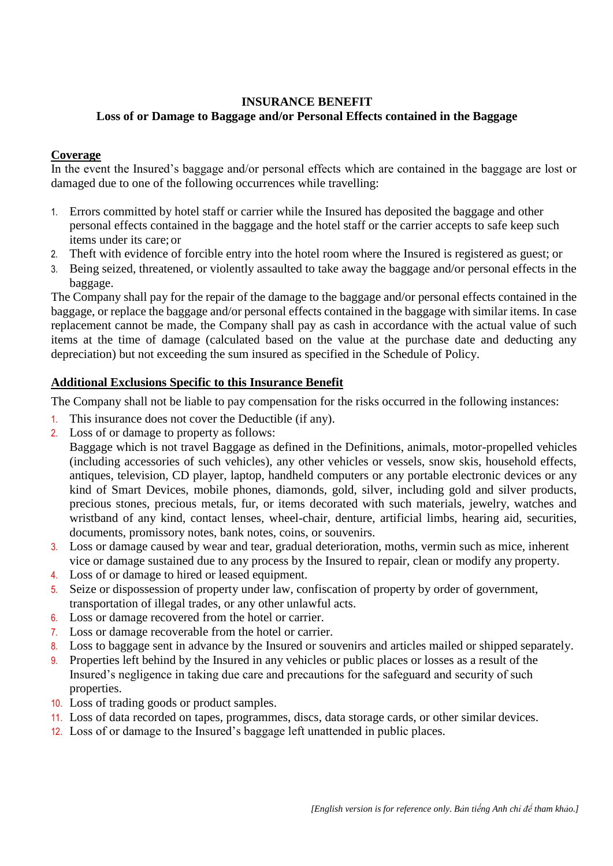## **INSURANCE BENEFIT Loss of or Damage to Baggage and/or Personal Effects contained in the Baggage**

## **Coverage**

In the event the Insured's baggage and/or personal effects which are contained in the baggage are lost or damaged due to one of the following occurrences while travelling:

- 1. Errors committed by hotel staff or carrier while the Insured has deposited the baggage and other personal effects contained in the baggage and the hotel staff or the carrier accepts to safe keep such items under its care; or
- 2. Theft with evidence of forcible entry into the hotel room where the Insured is registered as guest; or
- 3. Being seized, threatened, or violently assaulted to take away the baggage and/or personal effects in the baggage.

The Company shall pay for the repair of the damage to the baggage and/or personal effects contained in the baggage, or replace the baggage and/or personal effects contained in the baggage with similar items. In case replacement cannot be made, the Company shall pay as cash in accordance with the actual value of such items at the time of damage (calculated based on the value at the purchase date and deducting any depreciation) but not exceeding the sum insured as specified in the Schedule of Policy.

## **Additional Exclusions Specific to this Insurance Benefit**

The Company shall not be liable to pay compensation for the risks occurred in the following instances:

- 1. This insurance does not cover the Deductible (if any).
- 2. Loss of or damage to property as follows:

Baggage which is not travel Baggage as defined in the Definitions, animals, motor-propelled vehicles (including accessories of such vehicles), any other vehicles or vessels, snow skis, household effects, antiques, television, CD player, laptop, handheld computers or any portable electronic devices or any kind of Smart Devices, mobile phones, diamonds, gold, silver, including gold and silver products, precious stones, precious metals, fur, or items decorated with such materials, jewelry, watches and wristband of any kind, contact lenses, wheel-chair, denture, artificial limbs, hearing aid, securities, documents, promissory notes, bank notes, coins, or souvenirs.

- 3. Loss or damage caused by wear and tear, gradual deterioration, moths, vermin such as mice, inherent vice or damage sustained due to any process by the Insured to repair, clean or modify any property.
- 4. Loss of or damage to hired or leased equipment.
- 5. Seize or dispossession of property under law, confiscation of property by order of government, transportation of illegal trades, or any other unlawful acts.
- 6. Loss or damage recovered from the hotel or carrier.
- 7. Loss or damage recoverable from the hotel or carrier.
- 8. Loss to baggage sent in advance by the Insured or souvenirs and articles mailed or shipped separately.
- 9. Properties left behind by the Insured in any vehicles or public places or losses as a result of the Insured's negligence in taking due care and precautions for the safeguard and security of such properties.
- 10. Loss of trading goods or product samples.
- 11. Loss of data recorded on tapes, programmes, discs, data storage cards, or other similar devices.
- 12. Loss of or damage to the Insured's baggage left unattended in public places.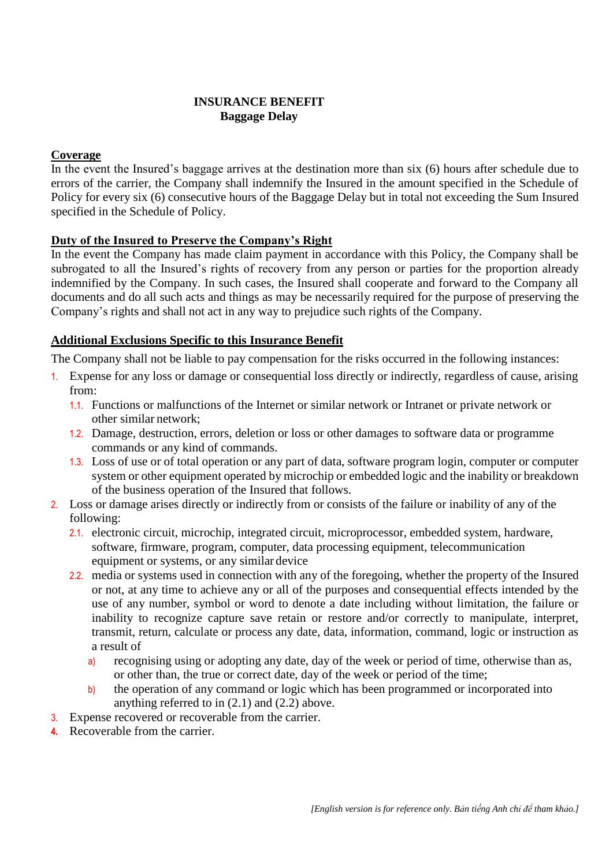#### **INSURANCE BENEFIT Baggage Delay**

## **Coverage**

In the event the Insured's baggage arrives at the destination more than six (6) hours after schedule due to errors of the carrier, the Company shall indemnify the Insured in the amount specified in the Schedule of Policy for every six (6) consecutive hours of the Baggage Delay but in total not exceeding the Sum Insured specified in the Schedule of Policy.

## **Duty of the Insured to Preserve the Company's Right**

In the event the Company has made claim payment in accordance with this Policy, the Company shall be subrogated to all the Insured's rights of recovery from any person or parties for the proportion already indemnified by the Company. In such cases, the Insured shall cooperate and forward to the Company all documents and do all such acts and things as may be necessarily required for the purpose of preserving the Company's rights and shall not act in any way to prejudice such rights of the Company.

## **Additional Exclusions Specific to this Insurance Benefit**

- 1. Expense for any loss or damage or consequential loss directly or indirectly, regardless of cause, arising from:
	- 1.1. Functions or malfunctions of the Internet or similar network or Intranet or private network or other similar network;
	- 1.2. Damage, destruction, errors, deletion or loss or other damages to software data or programme commands or any kind of commands.
	- 1.3. Loss of use or of total operation or any part of data, software program login, computer or computer system or other equipment operated by microchip or embedded logic and the inability or breakdown of the business operation of the Insured that follows.
- 2. Loss or damage arises directly or indirectly from or consists of the failure or inability of any of the following:
	- 2.1. electronic circuit, microchip, integrated circuit, microprocessor, embedded system, hardware, software, firmware, program, computer, data processing equipment, telecommunication equipment or systems, or any similar device
	- 2.2. media or systems used in connection with any of the foregoing, whether the property of the Insured or not, at any time to achieve any or all of the purposes and consequential effects intended by the use of any number, symbol or word to denote a date including without limitation, the failure or inability to recognize capture save retain or restore and/or correctly to manipulate, interpret, transmit, return, calculate or process any date, data, information, command, logic or instruction as a result of
		- a) recognising using or adopting any date, day of the week or period of time, otherwise than as, or other than, the true or correct date, day of the week or period of the time;
		- b) the operation of any command or logic which has been programmed or incorporated into anything referred to in (2.1) and (2.2) above.
- 3. Expense recovered or recoverable from the carrier.
- **4.** Recoverable from the carrier.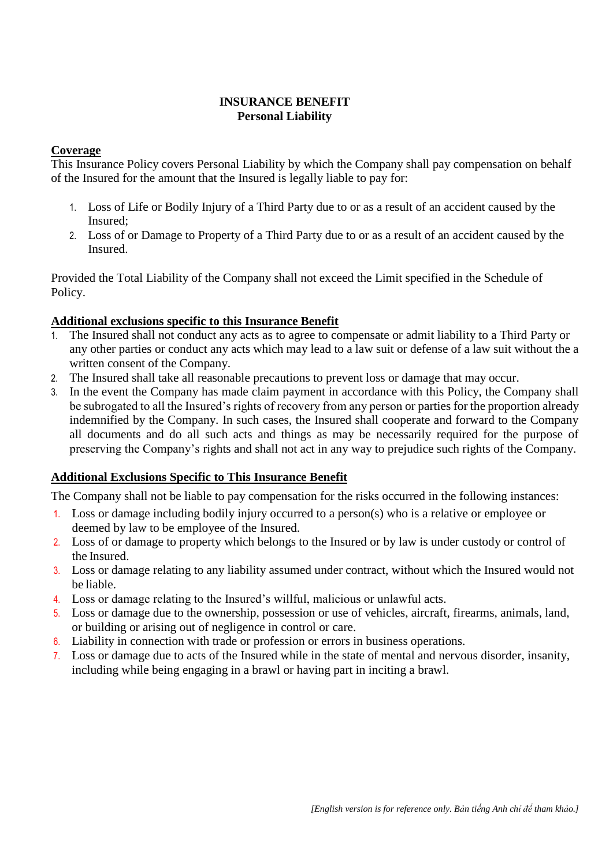#### **INSURANCE BENEFIT Personal Liability**

#### **Coverage**

This Insurance Policy covers Personal Liability by which the Company shall pay compensation on behalf of the Insured for the amount that the Insured is legally liable to pay for:

- 1. Loss of Life or Bodily Injury of a Third Party due to or as a result of an accident caused by the Insured;
- 2. Loss of or Damage to Property of a Third Party due to or as a result of an accident caused by the Insured.

Provided the Total Liability of the Company shall not exceed the Limit specified in the Schedule of Policy.

## **Additional exclusions specific to this Insurance Benefit**

- 1. The Insured shall not conduct any acts as to agree to compensate or admit liability to a Third Party or any other parties or conduct any acts which may lead to a law suit or defense of a law suit without the a written consent of the Company.
- 2. The Insured shall take all reasonable precautions to prevent loss or damage that may occur.
- 3. In the event the Company has made claim payment in accordance with this Policy, the Company shall be subrogated to all the Insured's rights of recovery from any person or parties for the proportion already indemnified by the Company. In such cases, the Insured shall cooperate and forward to the Company all documents and do all such acts and things as may be necessarily required for the purpose of preserving the Company's rights and shall not act in any way to prejudice such rights of the Company.

## **Additional Exclusions Specific to This Insurance Benefit**

- 1. Loss or damage including bodily injury occurred to a person(s) who is a relative or employee or deemed by law to be employee of the Insured.
- 2. Loss of or damage to property which belongs to the Insured or by law is under custody or control of the Insured.
- 3. Loss or damage relating to any liability assumed under contract, without which the Insured would not be liable.
- 4. Loss or damage relating to the Insured's willful, malicious or unlawful acts.
- 5. Loss or damage due to the ownership, possession or use of vehicles, aircraft, firearms, animals, land, or building or arising out of negligence in control or care.
- 6. Liability in connection with trade or profession or errors in business operations.
- 7. Loss or damage due to acts of the Insured while in the state of mental and nervous disorder, insanity, including while being engaging in a brawl or having part in inciting a brawl.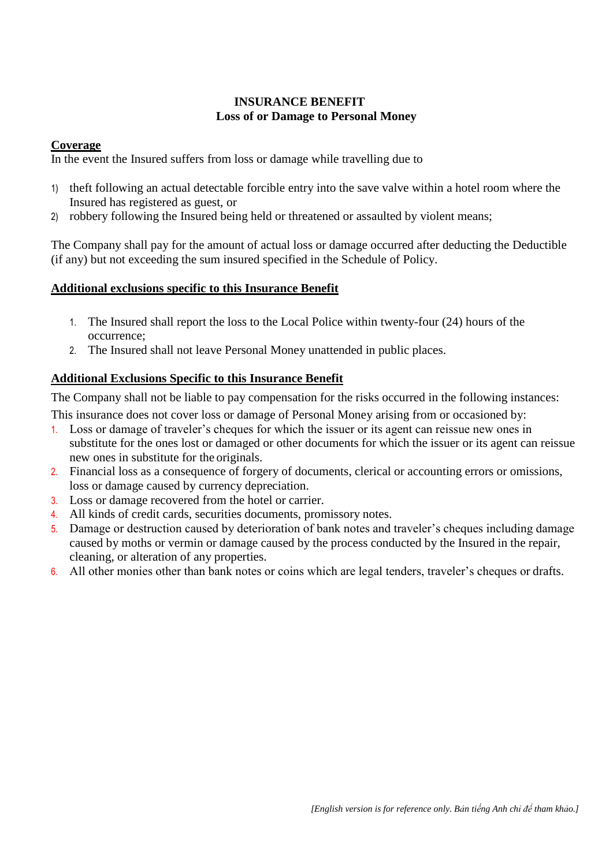## **INSURANCE BENEFIT Loss of or Damage to Personal Money**

#### **Coverage**

In the event the Insured suffers from loss or damage while travelling due to

- 1) theft following an actual detectable forcible entry into the save valve within a hotel room where the Insured has registered as guest, or
- 2) robbery following the Insured being held or threatened or assaulted by violent means;

The Company shall pay for the amount of actual loss or damage occurred after deducting the Deductible (if any) but not exceeding the sum insured specified in the Schedule of Policy.

## **Additional exclusions specific to this Insurance Benefit**

- 1. The Insured shall report the loss to the Local Police within twenty-four (24) hours of the occurrence;
- 2. The Insured shall not leave Personal Money unattended in public places.

## **Additional Exclusions Specific to this Insurance Benefit**

The Company shall not be liable to pay compensation for the risks occurred in the following instances:

This insurance does not cover loss or damage of Personal Money arising from or occasioned by:

- 1. Loss or damage of traveler's cheques for which the issuer or its agent can reissue new ones in substitute for the ones lost or damaged or other documents for which the issuer or its agent can reissue new ones in substitute for the originals.
- 2. Financial loss as a consequence of forgery of documents, clerical or accounting errors or omissions, loss or damage caused by currency depreciation.
- 3. Loss or damage recovered from the hotel or carrier.
- 4. All kinds of credit cards, securities documents, promissory notes.
- 5. Damage or destruction caused by deterioration of bank notes and traveler's cheques including damage caused by moths or vermin or damage caused by the process conducted by the Insured in the repair, cleaning, or alteration of any properties.
- 6. All other monies other than bank notes or coins which are legal tenders, traveler's cheques or drafts.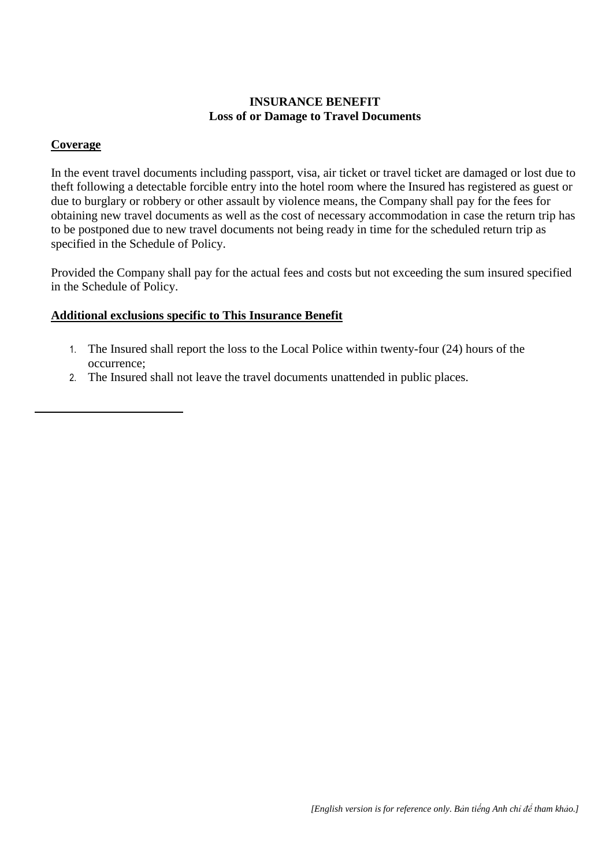## **INSURANCE BENEFIT Loss of or Damage to Travel Documents**

#### **Coverage**

In the event travel documents including passport, visa, air ticket or travel ticket are damaged or lost due to theft following a detectable forcible entry into the hotel room where the Insured has registered as guest or due to burglary or robbery or other assault by violence means, the Company shall pay for the fees for obtaining new travel documents as well as the cost of necessary accommodation in case the return trip has to be postponed due to new travel documents not being ready in time for the scheduled return trip as specified in the Schedule of Policy.

Provided the Company shall pay for the actual fees and costs but not exceeding the sum insured specified in the Schedule of Policy.

#### **Additional exclusions specific to This Insurance Benefit**

- 1. The Insured shall report the loss to the Local Police within twenty-four (24) hours of the occurrence;
- 2. The Insured shall not leave the travel documents unattended in public places.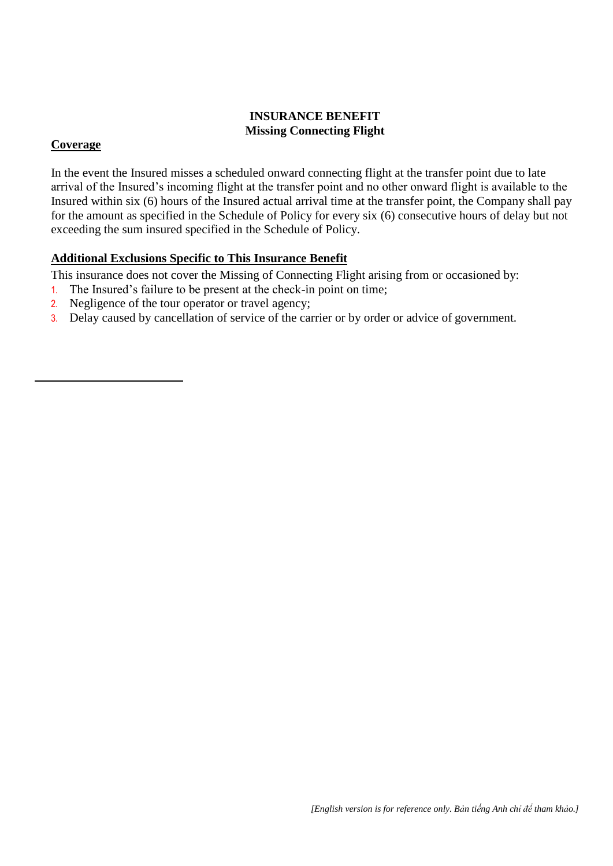## **INSURANCE BENEFIT Missing Connecting Flight**

## **Coverage**

In the event the Insured misses a scheduled onward connecting flight at the transfer point due to late arrival of the Insured's incoming flight at the transfer point and no other onward flight is available to the Insured within six (6) hours of the Insured actual arrival time at the transfer point, the Company shall pay for the amount as specified in the Schedule of Policy for every six (6) consecutive hours of delay but not exceeding the sum insured specified in the Schedule of Policy.

## **Additional Exclusions Specific to This Insurance Benefit**

This insurance does not cover the Missing of Connecting Flight arising from or occasioned by:

- 1. The Insured's failure to be present at the check-in point on time;
- 2. Negligence of the tour operator or travel agency;
- 3. Delay caused by cancellation of service of the carrier or by order or advice of government.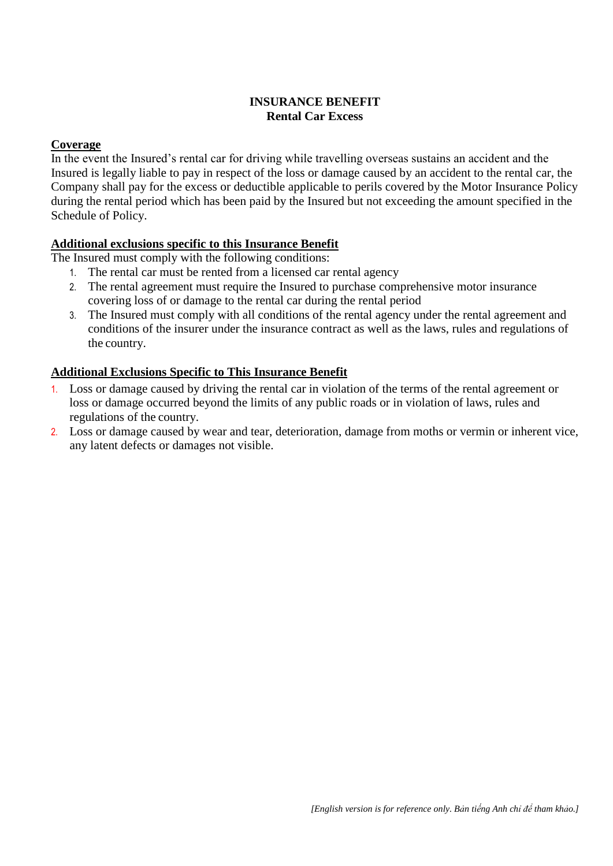## **INSURANCE BENEFIT Rental Car Excess**

#### **Coverage**

In the event the Insured's rental car for driving while travelling overseas sustains an accident and the Insured is legally liable to pay in respect of the loss or damage caused by an accident to the rental car, the Company shall pay for the excess or deductible applicable to perils covered by the Motor Insurance Policy during the rental period which has been paid by the Insured but not exceeding the amount specified in the Schedule of Policy.

#### **Additional exclusions specific to this Insurance Benefit**

The Insured must comply with the following conditions:

- 1. The rental car must be rented from a licensed car rental agency
- 2. The rental agreement must require the Insured to purchase comprehensive motor insurance covering loss of or damage to the rental car during the rental period
- 3. The Insured must comply with all conditions of the rental agency under the rental agreement and conditions of the insurer under the insurance contract as well as the laws, rules and regulations of the country.

#### **Additional Exclusions Specific to This Insurance Benefit**

- 1. Loss or damage caused by driving the rental car in violation of the terms of the rental agreement or loss or damage occurred beyond the limits of any public roads or in violation of laws, rules and regulations of the country.
- 2. Loss or damage caused by wear and tear, deterioration, damage from moths or vermin or inherent vice, any latent defects or damages not visible.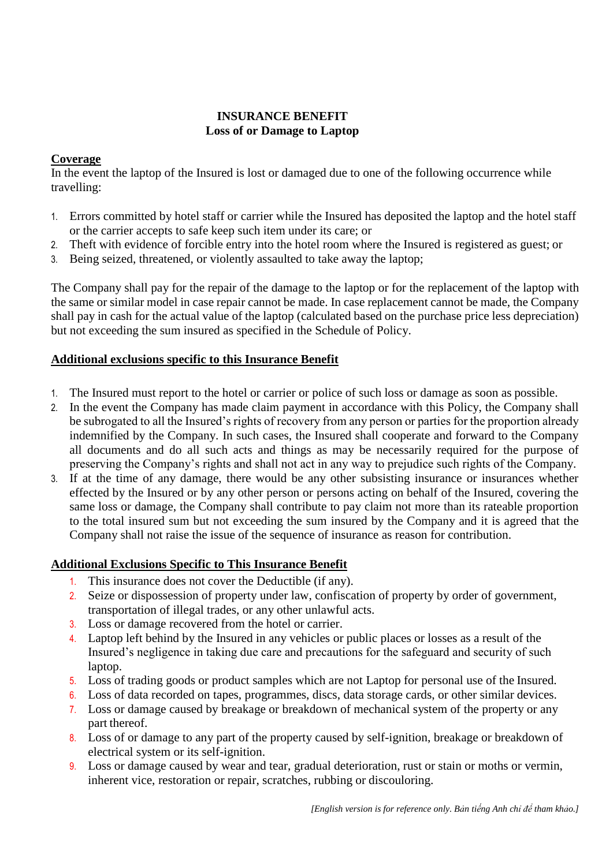#### **INSURANCE BENEFIT Loss of or Damage to Laptop**

## **Coverage**

In the event the laptop of the Insured is lost or damaged due to one of the following occurrence while travelling:

- 1. Errors committed by hotel staff or carrier while the Insured has deposited the laptop and the hotel staff or the carrier accepts to safe keep such item under its care; or
- 2. Theft with evidence of forcible entry into the hotel room where the Insured is registered as guest; or
- 3. Being seized, threatened, or violently assaulted to take away the laptop;

The Company shall pay for the repair of the damage to the laptop or for the replacement of the laptop with the same or similar model in case repair cannot be made. In case replacement cannot be made, the Company shall pay in cash for the actual value of the laptop (calculated based on the purchase price less depreciation) but not exceeding the sum insured as specified in the Schedule of Policy.

## **Additional exclusions specific to this Insurance Benefit**

- 1. The Insured must report to the hotel or carrier or police of such loss or damage as soon as possible.
- 2. In the event the Company has made claim payment in accordance with this Policy, the Company shall be subrogated to all the Insured's rights of recovery from any person or parties for the proportion already indemnified by the Company. In such cases, the Insured shall cooperate and forward to the Company all documents and do all such acts and things as may be necessarily required for the purpose of preserving the Company's rights and shall not act in any way to prejudice such rights of the Company.
- 3. If at the time of any damage, there would be any other subsisting insurance or insurances whether effected by the Insured or by any other person or persons acting on behalf of the Insured, covering the same loss or damage, the Company shall contribute to pay claim not more than its rateable proportion to the total insured sum but not exceeding the sum insured by the Company and it is agreed that the Company shall not raise the issue of the sequence of insurance as reason for contribution.

## **Additional Exclusions Specific to This Insurance Benefit**

- 1. This insurance does not cover the Deductible (if any).
- 2. Seize or dispossession of property under law, confiscation of property by order of government, transportation of illegal trades, or any other unlawful acts.
- 3. Loss or damage recovered from the hotel or carrier.
- 4. Laptop left behind by the Insured in any vehicles or public places or losses as a result of the Insured's negligence in taking due care and precautions for the safeguard and security of such laptop.
- 5. Loss of trading goods or product samples which are not Laptop for personal use of the Insured.
- 6. Loss of data recorded on tapes, programmes, discs, data storage cards, or other similar devices.
- 7. Loss or damage caused by breakage or breakdown of mechanical system of the property or any part thereof.
- 8. Loss of or damage to any part of the property caused by self-ignition, breakage or breakdown of electrical system or its self-ignition.
- 9. Loss or damage caused by wear and tear, gradual deterioration, rust or stain or moths or vermin, inherent vice, restoration or repair, scratches, rubbing or discouloring.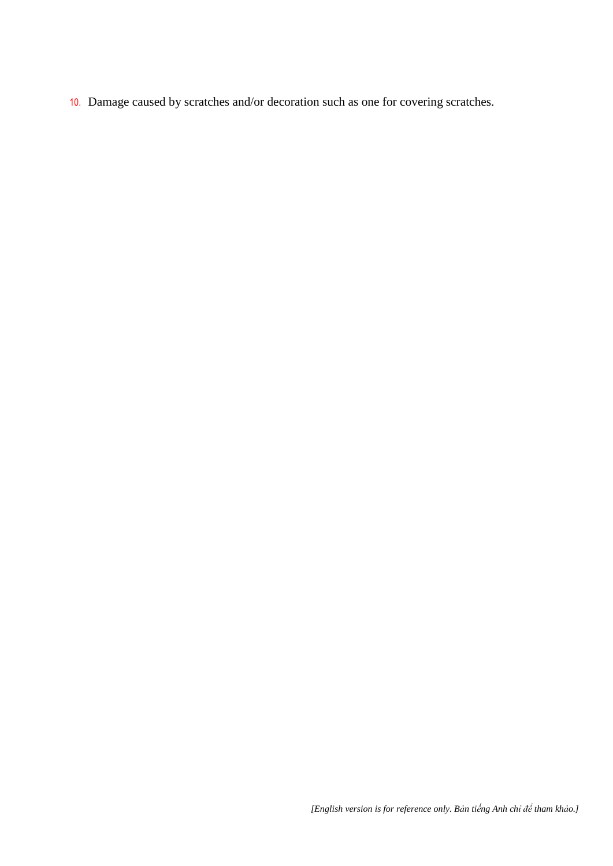10. Damage caused by scratches and/or decoration such as one for covering scratches.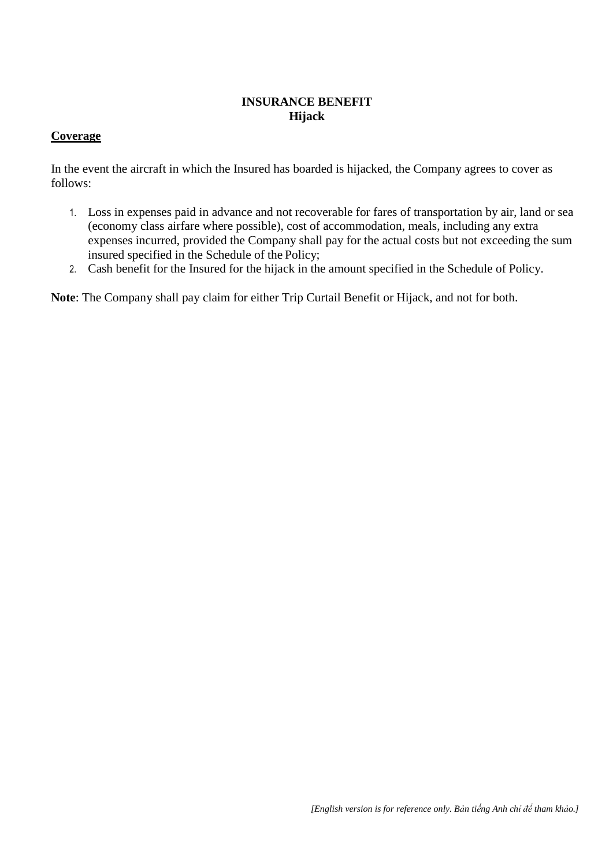## **INSURANCE BENEFIT Hijack**

#### **Coverage**

In the event the aircraft in which the Insured has boarded is hijacked, the Company agrees to cover as follows:

- 1. Loss in expenses paid in advance and not recoverable for fares of transportation by air, land or sea (economy class airfare where possible), cost of accommodation, meals, including any extra expenses incurred, provided the Company shall pay for the actual costs but not exceeding the sum insured specified in the Schedule of the Policy;
- 2. Cash benefit for the Insured for the hijack in the amount specified in the Schedule of Policy.

**Note**: The Company shall pay claim for either Trip Curtail Benefit or Hijack, and not for both.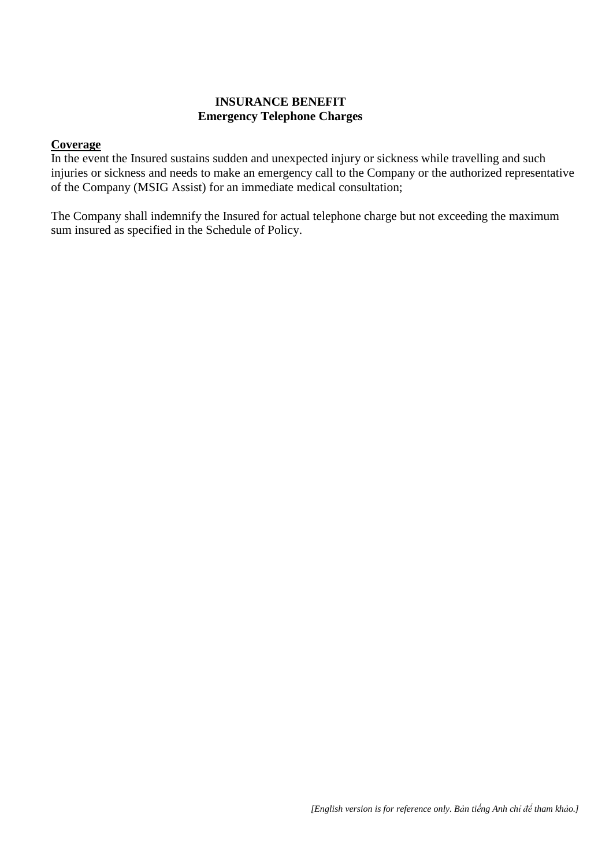#### **INSURANCE BENEFIT Emergency Telephone Charges**

#### **Coverage**

In the event the Insured sustains sudden and unexpected injury or sickness while travelling and such injuries or sickness and needs to make an emergency call to the Company or the authorized representative of the Company (MSIG Assist) for an immediate medical consultation;

The Company shall indemnify the Insured for actual telephone charge but not exceeding the maximum sum insured as specified in the Schedule of Policy.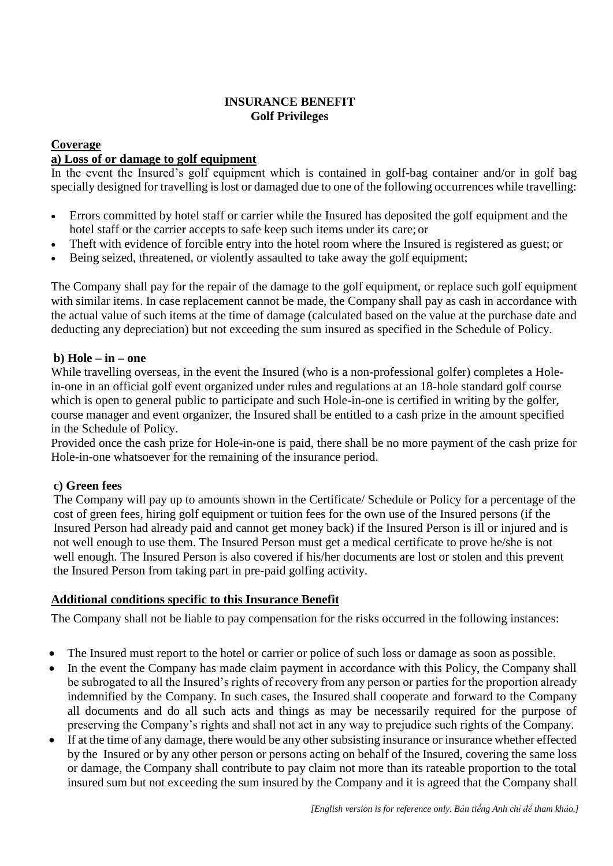## **INSURANCE BENEFIT Golf Privileges**

#### **Coverage**

#### **a) Loss of or damage to golf equipment**

In the event the Insured's golf equipment which is contained in golf-bag container and/or in golf bag specially designed for travelling is lost or damaged due to one of the following occurrences while travelling:

- Errors committed by hotel staff or carrier while the Insured has deposited the golf equipment and the hotel staff or the carrier accepts to safe keep such items under its care; or
- Theft with evidence of forcible entry into the hotel room where the Insured is registered as guest; or
- Being seized, threatened, or violently assaulted to take away the golf equipment;

The Company shall pay for the repair of the damage to the golf equipment, or replace such golf equipment with similar items. In case replacement cannot be made, the Company shall pay as cash in accordance with the actual value of such items at the time of damage (calculated based on the value at the purchase date and deducting any depreciation) but not exceeding the sum insured as specified in the Schedule of Policy.

## **b) Hole – in – one**

While travelling overseas, in the event the Insured (who is a non-professional golfer) completes a Holein-one in an official golf event organized under rules and regulations at an 18-hole standard golf course which is open to general public to participate and such Hole-in-one is certified in writing by the golfer, course manager and event organizer, the Insured shall be entitled to a cash prize in the amount specified in the Schedule of Policy.

Provided once the cash prize for Hole-in-one is paid, there shall be no more payment of the cash prize for Hole-in-one whatsoever for the remaining of the insurance period.

#### **c) Green fees**

The Company will pay up to amounts shown in the Certificate/ Schedule or Policy for a percentage of the cost of green fees, hiring golf equipment or tuition fees for the own use of the Insured persons (if the Insured Person had already paid and cannot get money back) if the Insured Person is ill or injured and is not well enough to use them. The Insured Person must get a medical certificate to prove he/she is not well enough. The Insured Person is also covered if his/her documents are lost or stolen and this prevent the Insured Person from taking part in pre-paid golfing activity.

## **Additional conditions specific to this Insurance Benefit**

- The Insured must report to the hotel or carrier or police of such loss or damage as soon as possible.
- In the event the Company has made claim payment in accordance with this Policy, the Company shall be subrogated to all the Insured's rights of recovery from any person or parties for the proportion already indemnified by the Company. In such cases, the Insured shall cooperate and forward to the Company all documents and do all such acts and things as may be necessarily required for the purpose of preserving the Company's rights and shall not act in any way to prejudice such rights of the Company.
- If at the time of any damage, there would be any other subsisting insurance or insurance whether effected by the Insured or by any other person or persons acting on behalf of the Insured, covering the same loss or damage, the Company shall contribute to pay claim not more than its rateable proportion to the total insured sum but not exceeding the sum insured by the Company and it is agreed that the Company shall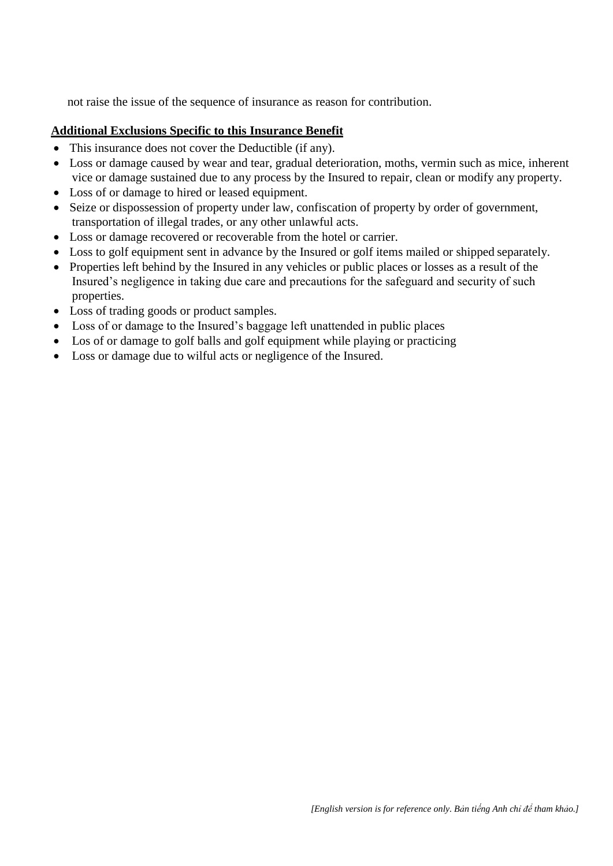not raise the issue of the sequence of insurance as reason for contribution.

## **Additional Exclusions Specific to this Insurance Benefit**

- This insurance does not cover the Deductible (if any).
- Loss or damage caused by wear and tear, gradual deterioration, moths, vermin such as mice, inherent vice or damage sustained due to any process by the Insured to repair, clean or modify any property.
- Loss of or damage to hired or leased equipment.
- Seize or dispossession of property under law, confiscation of property by order of government, transportation of illegal trades, or any other unlawful acts.
- Loss or damage recovered or recoverable from the hotel or carrier.
- Loss to golf equipment sent in advance by the Insured or golf items mailed or shipped separately.
- Properties left behind by the Insured in any vehicles or public places or losses as a result of the Insured's negligence in taking due care and precautions for the safeguard and security of such properties.
- Loss of trading goods or product samples.
- Loss of or damage to the Insured's baggage left unattended in public places
- Los of or damage to golf balls and golf equipment while playing or practicing
- Loss or damage due to wilful acts or negligence of the Insured.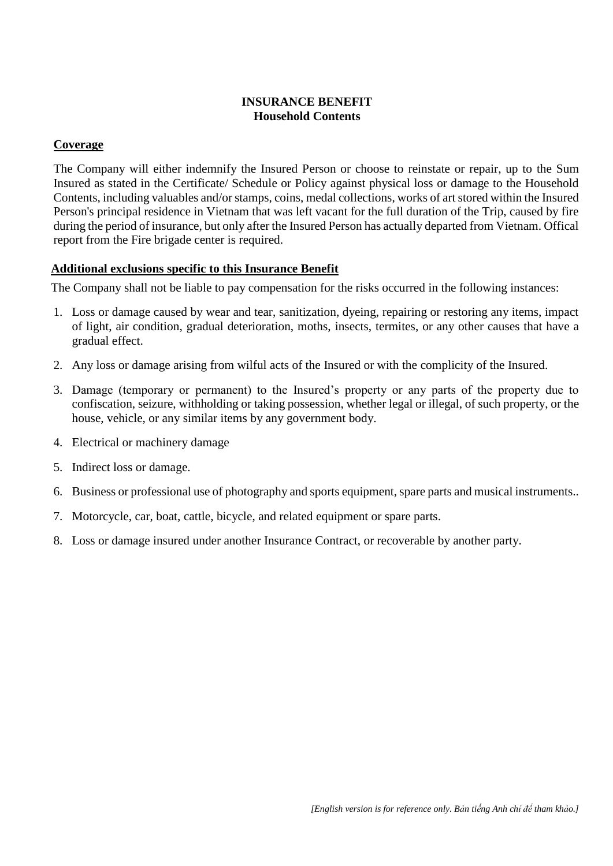## **INSURANCE BENEFIT Household Contents**

## **Coverage**

The Company will either indemnify the Insured Person or choose to reinstate or repair, up to the Sum Insured as stated in the Certificate/ Schedule or Policy against physical loss or damage to the Household Contents, including valuables and/or stamps, coins, medal collections, works of art stored within the Insured Person's principal residence in Vietnam that was left vacant for the full duration of the Trip, caused by fire during the period of insurance, but only after the Insured Person has actually departed from Vietnam. Offical report from the Fire brigade center is required.

## **Additional exclusions specific to this Insurance Benefit**

- 1. Loss or damage caused by wear and tear, sanitization, dyeing, repairing or restoring any items, impact of light, air condition, gradual deterioration, moths, insects, termites, or any other causes that have a gradual effect.
- 2. Any loss or damage arising from wilful acts of the Insured or with the complicity of the Insured.
- 3. Damage (temporary or permanent) to the Insured's property or any parts of the property due to confiscation, seizure, withholding or taking possession, whether legal or illegal, of such property, or the house, vehicle, or any similar items by any government body.
- 4. Electrical or machinery damage
- 5. Indirect loss or damage.
- 6. Business or professional use of photography and sports equipment, spare parts and musical instruments..
- 7. Motorcycle, car, boat, cattle, bicycle, and related equipment or spare parts.
- 8. Loss or damage insured under another Insurance Contract, or recoverable by another party.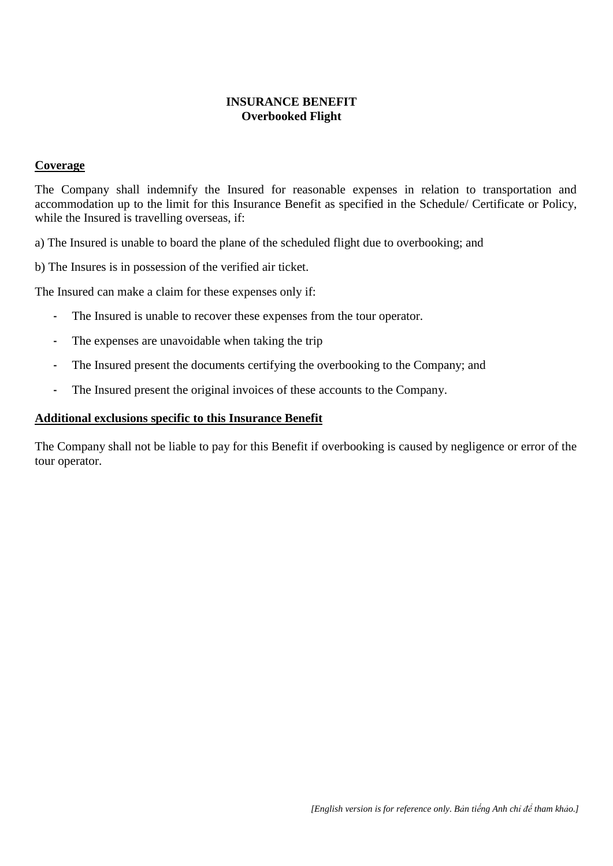#### **INSURANCE BENEFIT Overbooked Flight**

#### **Coverage**

The Company shall indemnify the Insured for reasonable expenses in relation to transportation and accommodation up to the limit for this Insurance Benefit as specified in the Schedule/ Certificate or Policy, while the Insured is travelling overseas, if:

a) The Insured is unable to board the plane of the scheduled flight due to overbooking; and

b) The Insures is in possession of the verified air ticket.

The Insured can make a claim for these expenses only if:

- The Insured is unable to recover these expenses from the tour operator.
- The expenses are unavoidable when taking the trip
- The Insured present the documents certifying the overbooking to the Company; and
- The Insured present the original invoices of these accounts to the Company.

#### **Additional exclusions specific to this Insurance Benefit**

The Company shall not be liable to pay for this Benefit if overbooking is caused by negligence or error of the tour operator.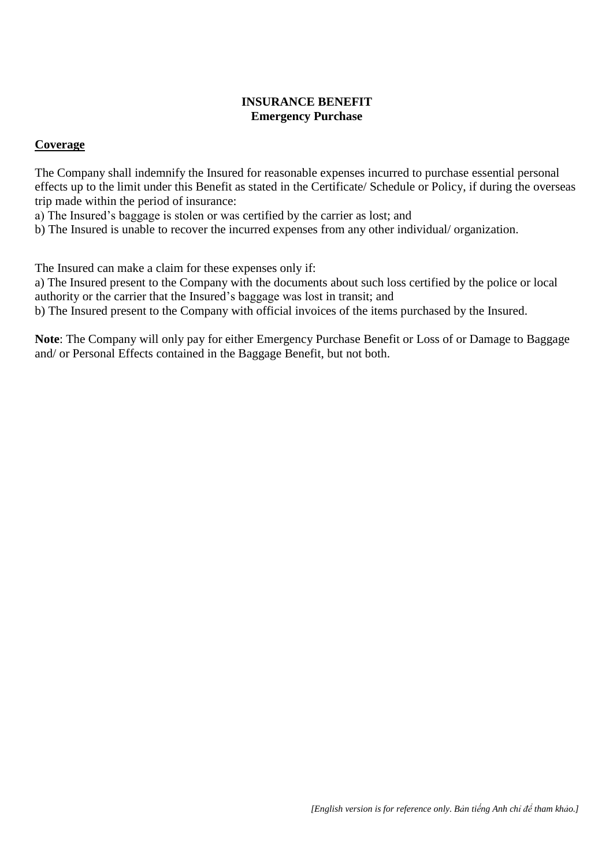#### **INSURANCE BENEFIT Emergency Purchase**

#### **Coverage**

The Company shall indemnify the Insured for reasonable expenses incurred to purchase essential personal effects up to the limit under this Benefit as stated in the Certificate/ Schedule or Policy, if during the overseas trip made within the period of insurance:

a) The Insured's baggage is stolen or was certified by the carrier as lost; and

b) The Insured is unable to recover the incurred expenses from any other individual/ organization.

The Insured can make a claim for these expenses only if:

a) The Insured present to the Company with the documents about such loss certified by the police or local authority or the carrier that the Insured's baggage was lost in transit; and

b) The Insured present to the Company with official invoices of the items purchased by the Insured.

**Note**: The Company will only pay for either Emergency Purchase Benefit or Loss of or Damage to Baggage and/ or Personal Effects contained in the Baggage Benefit, but not both.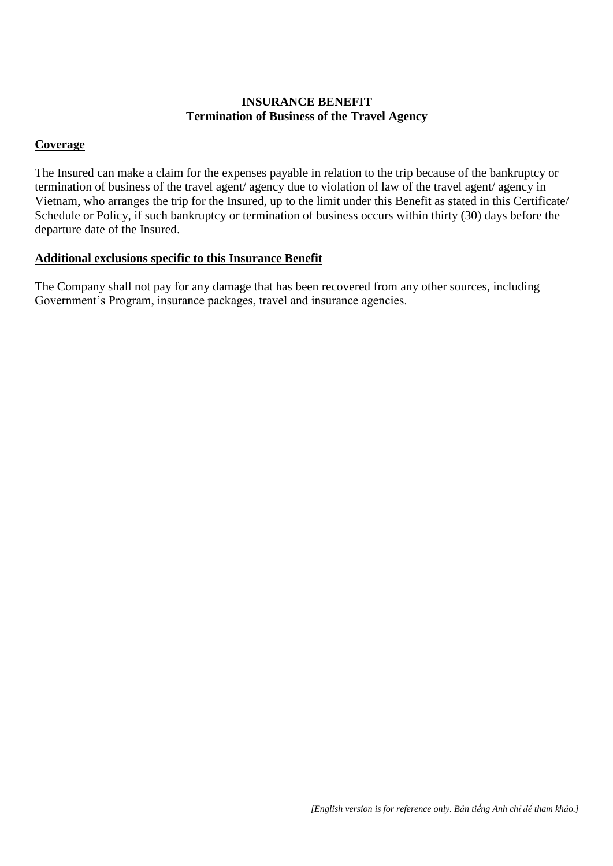## **INSURANCE BENEFIT Termination of Business of the Travel Agency**

#### **Coverage**

The Insured can make a claim for the expenses payable in relation to the trip because of the bankruptcy or termination of business of the travel agent/ agency due to violation of law of the travel agent/ agency in Vietnam, who arranges the trip for the Insured, up to the limit under this Benefit as stated in this Certificate/ Schedule or Policy, if such bankruptcy or termination of business occurs within thirty (30) days before the departure date of the Insured.

#### **Additional exclusions specific to this Insurance Benefit**

The Company shall not pay for any damage that has been recovered from any other sources, including Government's Program, insurance packages, travel and insurance agencies.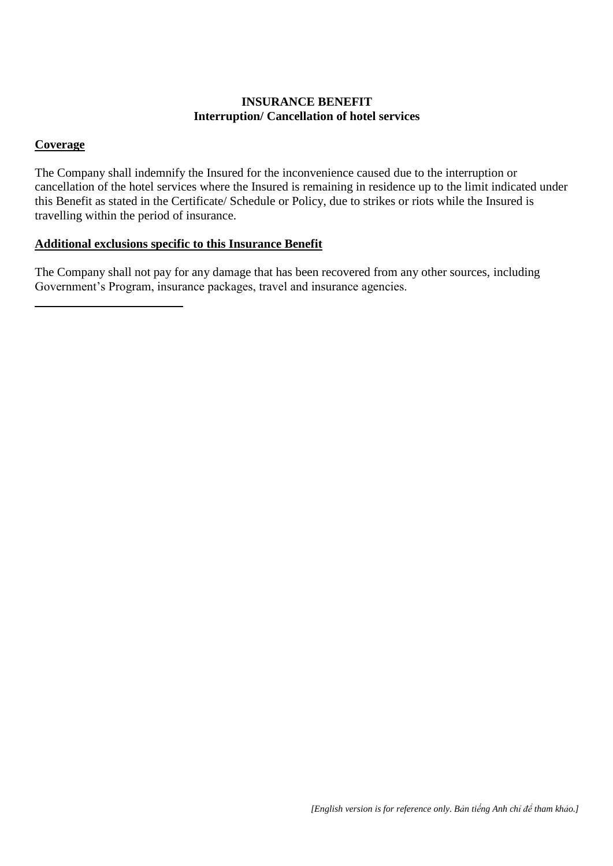## **INSURANCE BENEFIT Interruption/ Cancellation of hotel services**

## **Coverage**

The Company shall indemnify the Insured for the inconvenience caused due to the interruption or cancellation of the hotel services where the Insured is remaining in residence up to the limit indicated under this Benefit as stated in the Certificate/ Schedule or Policy, due to strikes or riots while the Insured is travelling within the period of insurance.

## **Additional exclusions specific to this Insurance Benefit**

The Company shall not pay for any damage that has been recovered from any other sources, including Government's Program, insurance packages, travel and insurance agencies.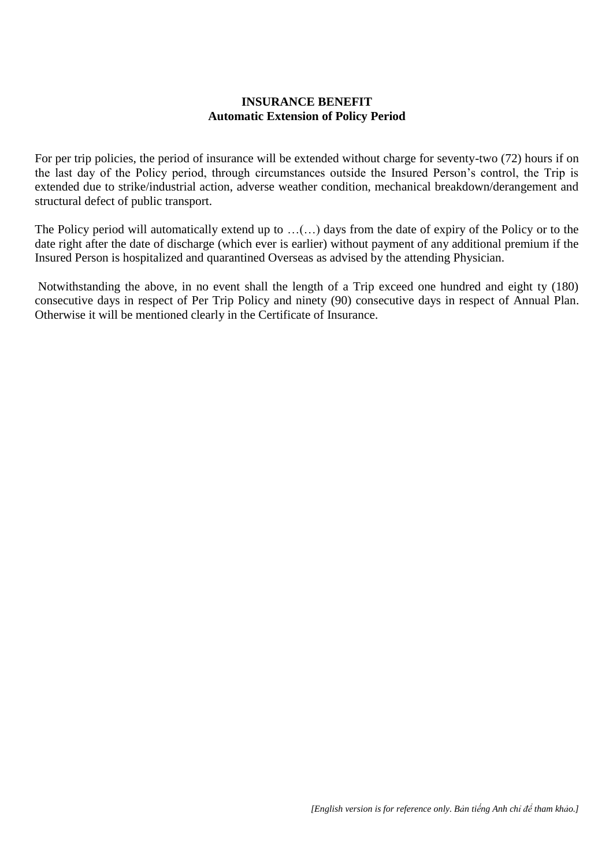#### **INSURANCE BENEFIT Automatic Extension of Policy Period**

For per trip policies, the period of insurance will be extended without charge for seventy-two (72) hours if on the last day of the Policy period, through circumstances outside the Insured Person's control, the Trip is extended due to strike/industrial action, adverse weather condition, mechanical breakdown/derangement and structural defect of public transport.

The Policy period will automatically extend up to …(…) days from the date of expiry of the Policy or to the date right after the date of discharge (which ever is earlier) without payment of any additional premium if the Insured Person is hospitalized and quarantined Overseas as advised by the attending Physician.

Notwithstanding the above, in no event shall the length of a Trip exceed one hundred and eight ty (180) consecutive days in respect of Per Trip Policy and ninety (90) consecutive days in respect of Annual Plan. Otherwise it will be mentioned clearly in the Certificate of Insurance.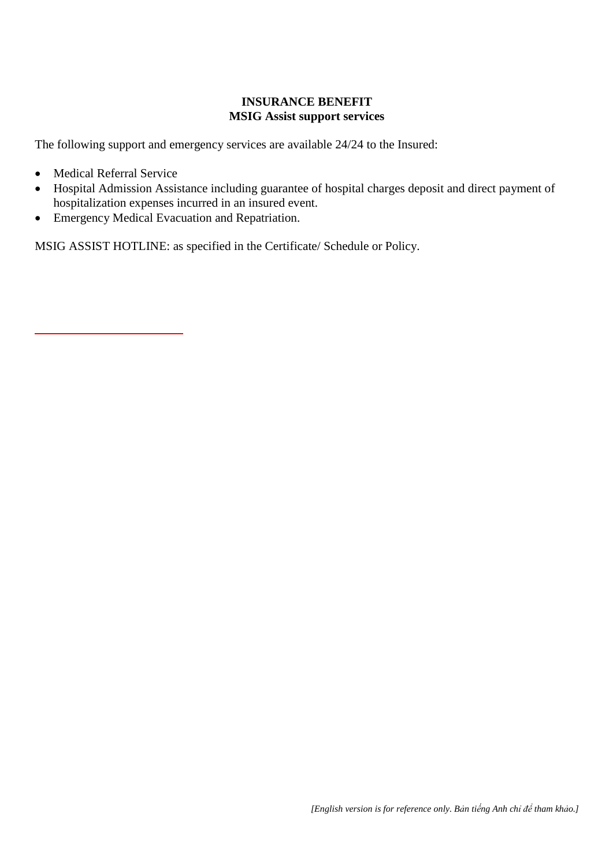## **INSURANCE BENEFIT MSIG Assist support services**

The following support and emergency services are available 24/24 to the Insured:

- Medical Referral Service
- Hospital Admission Assistance including guarantee of hospital charges deposit and direct payment of hospitalization expenses incurred in an insured event.
- Emergency Medical Evacuation and Repatriation.

MSIG ASSIST HOTLINE: as specified in the Certificate/ Schedule or Policy.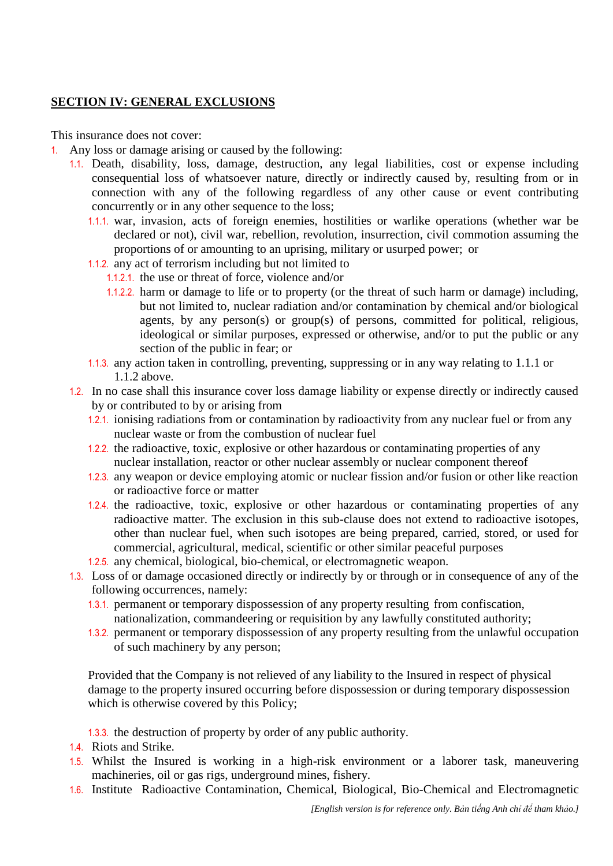## **SECTION IV: GENERAL EXCLUSIONS**

This insurance does not cover:

- 1. Any loss or damage arising or caused by the following:
	- 1.1. Death, disability, loss, damage, destruction, any legal liabilities, cost or expense including consequential loss of whatsoever nature, directly or indirectly caused by, resulting from or in connection with any of the following regardless of any other cause or event contributing concurrently or in any other sequence to the loss;
		- 1.1.1. war, invasion, acts of foreign enemies, hostilities or warlike operations (whether war be declared or not), civil war, rebellion, revolution, insurrection, civil commotion assuming the proportions of or amounting to an uprising, military or usurped power; or
		- 1.1.2. any act of terrorism including but not limited to
			- 1.1.2.1. the use or threat of force, violence and/or
				- 1.1.2.2. harm or damage to life or to property (or the threat of such harm or damage) including, but not limited to, nuclear radiation and/or contamination by chemical and/or biological agents, by any person(s) or group(s) of persons, committed for political, religious, ideological or similar purposes, expressed or otherwise, and/or to put the public or any section of the public in fear; or
		- 1.1.3. any action taken in controlling, preventing, suppressing or in any way relating to 1.1.1 or 1.1.2 above.
	- 1.2. In no case shall this insurance cover loss damage liability or expense directly or indirectly caused by or contributed to by or arising from
		- 1.2.1. ionising radiations from or contamination by radioactivity from any nuclear fuel or from any nuclear waste or from the combustion of nuclear fuel
		- 1.2.2. the radioactive, toxic, explosive or other hazardous or contaminating properties of any nuclear installation, reactor or other nuclear assembly or nuclear component thereof
		- 1.2.3. any weapon or device employing atomic or nuclear fission and/or fusion or other like reaction or radioactive force or matter
		- 1.2.4. the radioactive, toxic, explosive or other hazardous or contaminating properties of any radioactive matter. The exclusion in this sub-clause does not extend to radioactive isotopes, other than nuclear fuel, when such isotopes are being prepared, carried, stored, or used for commercial, agricultural, medical, scientific or other similar peaceful purposes
		- 1.2.5. any chemical, biological, bio-chemical, or electromagnetic weapon.
	- 1.3. Loss of or damage occasioned directly or indirectly by or through or in consequence of any of the following occurrences, namely:
		- 1.3.1. permanent or temporary dispossession of any property resulting from confiscation, nationalization, commandeering or requisition by any lawfully constituted authority;
		- 1.3.2. permanent or temporary dispossession of any property resulting from the unlawful occupation of such machinery by any person;

Provided that the Company is not relieved of any liability to the Insured in respect of physical damage to the property insured occurring before dispossession or during temporary dispossession which is otherwise covered by this Policy;

1.3.3. the destruction of property by order of any public authority.

- 1.4. Riots and Strike.
- 1.5. Whilst the Insured is working in a high-risk environment or a laborer task, maneuvering machineries, oil or gas rigs, underground mines, fishery.
- 1.6. Institute Radioactive Contamination, Chemical, Biological, Bio-Chemical and Electromagnetic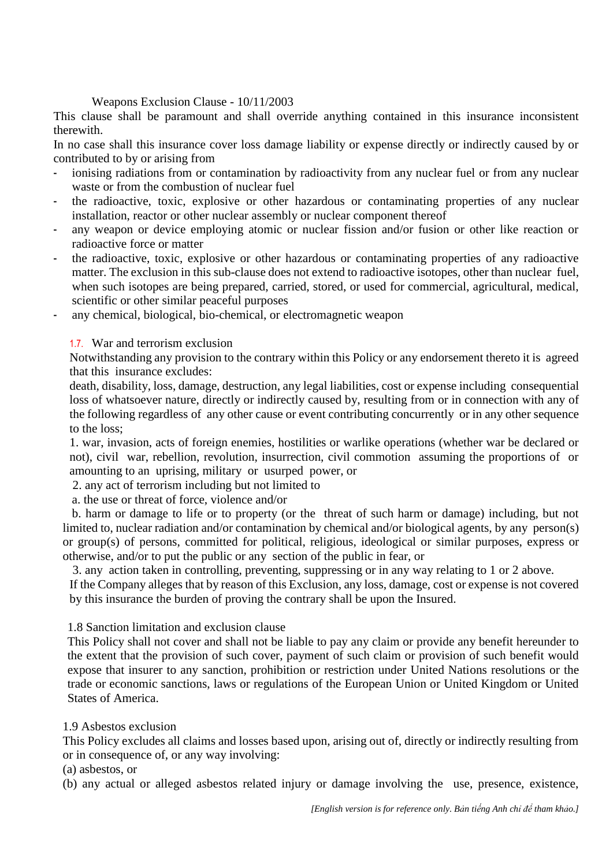#### Weapons Exclusion Clause - 10/11/2003

This clause shall be paramount and shall override anything contained in this insurance inconsistent therewith.

In no case shall this insurance cover loss damage liability or expense directly or indirectly caused by or contributed to by or arising from

- ionising radiations from or contamination by radioactivity from any nuclear fuel or from any nuclear waste or from the combustion of nuclear fuel
- the radioactive, toxic, explosive or other hazardous or contaminating properties of any nuclear installation, reactor or other nuclear assembly or nuclear component thereof
- any weapon or device employing atomic or nuclear fission and/or fusion or other like reaction or radioactive force or matter
- the radioactive, toxic, explosive or other hazardous or contaminating properties of any radioactive matter. The exclusion in this sub-clause does not extend to radioactive isotopes, other than nuclear fuel, when such isotopes are being prepared, carried, stored, or used for commercial, agricultural, medical, scientific or other similar peaceful purposes
- any chemical, biological, bio-chemical, or electromagnetic weapon

#### 1.7. War and terrorism exclusion

Notwithstanding any provision to the contrary within this Policy or any endorsement thereto it is agreed that this insurance excludes:

death, disability, loss, damage, destruction, any legal liabilities, cost or expense including consequential loss of whatsoever nature, directly or indirectly caused by, resulting from or in connection with any of the following regardless of any other cause or event contributing concurrently or in any other sequence to the loss;

1. war, invasion, acts of foreign enemies, hostilities or warlike operations (whether war be declared or not), civil war, rebellion, revolution, insurrection, civil commotion assuming the proportions of or amounting to an uprising, military or usurped power, or

2. any act of terrorism including but not limited to

a. the use or threat of force, violence and/or

 b. harm or damage to life or to property (or the threat of such harm or damage) including, but not limited to, nuclear radiation and/or contamination by chemical and/or biological agents, by any person(s) or group(s) of persons, committed for political, religious, ideological or similar purposes, express or otherwise, and/or to put the public or any section of the public in fear, or

3. any action taken in controlling, preventing, suppressing or in any way relating to 1 or 2 above.

If the Company alleges that by reason of this Exclusion, any loss, damage, cost or expense is not covered by this insurance the burden of proving the contrary shall be upon the Insured.

#### 1.8 Sanction limitation and exclusion clause

This Policy shall not cover and shall not be liable to pay any claim or provide any benefit hereunder to the extent that the provision of such cover, payment of such claim or provision of such benefit would expose that insurer to any sanction, prohibition or restriction under United Nations resolutions or the trade or economic sanctions, laws or regulations of the European Union or United Kingdom or United States of America.

#### 1.9 Asbestos exclusion

This Policy excludes all claims and losses based upon, arising out of, directly or indirectly resulting from or in consequence of, or any way involving:

#### (a) asbestos, or

(b) any actual or alleged asbestos related injury or damage involving the use, presence, existence,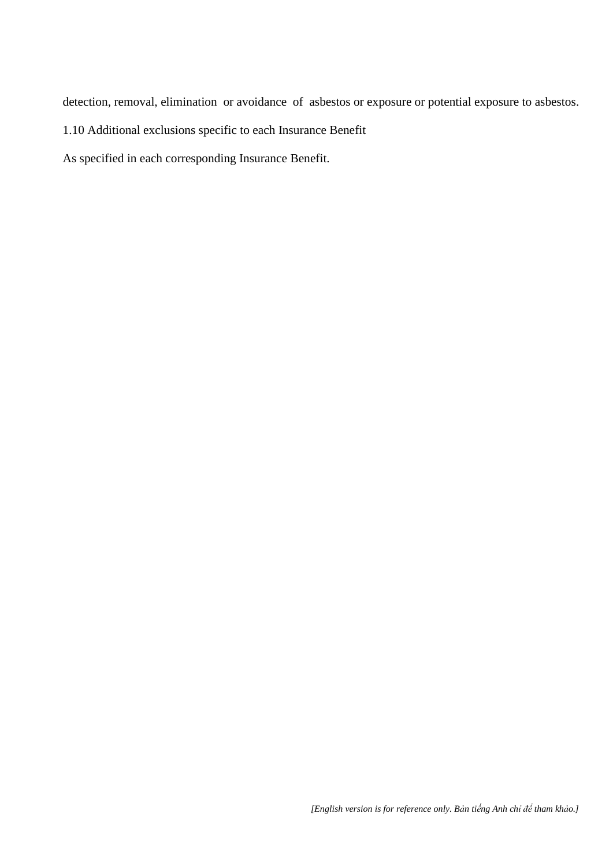detection, removal, elimination or avoidance of asbestos or exposure or potential exposure to asbestos.

1.10 Additional exclusions specific to each Insurance Benefit

As specified in each corresponding Insurance Benefit.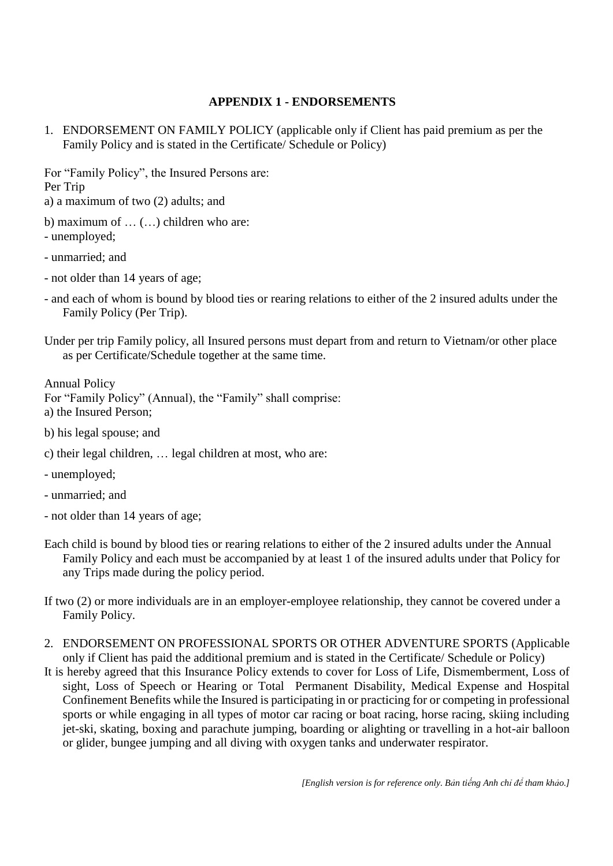#### **APPENDIX 1 - ENDORSEMENTS**

1. ENDORSEMENT ON FAMILY POLICY (applicable only if Client has paid premium as per the Family Policy and is stated in the Certificate/ Schedule or Policy)

For "Family Policy", the Insured Persons are: Per Trip a) a maximum of two (2) adults; and

b) maximum of … (…) children who are: - unemployed;

- unmarried; and

- not older than 14 years of age;

- and each of whom is bound by blood ties or rearing relations to either of the 2 insured adults under the Family Policy (Per Trip).

Annual Policy For "Family Policy" (Annual), the "Family" shall comprise: a) the Insured Person;

- b) his legal spouse; and
- c) their legal children, … legal children at most, who are:
- unemployed;
- unmarried; and
- not older than 14 years of age;
- Each child is bound by blood ties or rearing relations to either of the 2 insured adults under the Annual Family Policy and each must be accompanied by at least 1 of the insured adults under that Policy for any Trips made during the policy period.
- If two (2) or more individuals are in an employer-employee relationship, they cannot be covered under a Family Policy.
- 2. ENDORSEMENT ON PROFESSIONAL SPORTS OR OTHER ADVENTURE SPORTS (Applicable only if Client has paid the additional premium and is stated in the Certificate/ Schedule or Policy)
- It is hereby agreed that this Insurance Policy extends to cover for Loss of Life, Dismemberment, Loss of sight, Loss of Speech or Hearing or Total Permanent Disability, Medical Expense and Hospital Confinement Benefits while the Insured is participating in or practicing for or competing in professional sports or while engaging in all types of motor car racing or boat racing, horse racing, skiing including jet-ski, skating, boxing and parachute jumping, boarding or alighting or travelling in a hot-air balloon or glider, bungee jumping and all diving with oxygen tanks and underwater respirator.

Under per trip Family policy, all Insured persons must depart from and return to Vietnam/or other place as per Certificate/Schedule together at the same time.